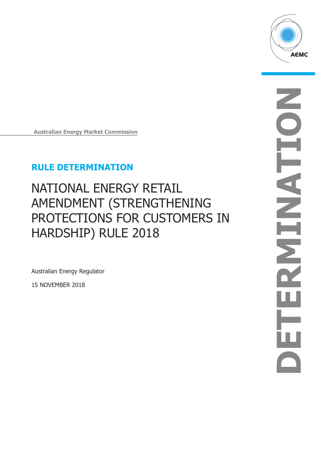

**Australian Energy Market Commission**

## **RULE DETERMINATION**

# NATIONAL ENERGY RETAIL AMENDMENT (STRENGTHENING PROTECTIONS FOR CUSTOMERS IN HARDSHIP) RULE 2018

Australian Energy Regulator

15 NOVEMBER 2018

**DE T E RMI N AT ION**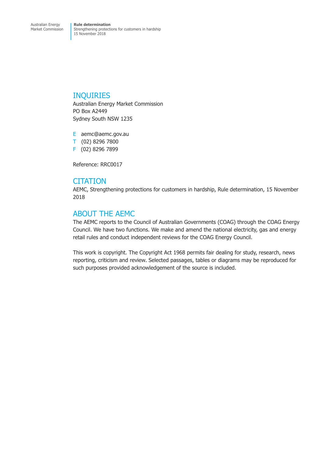### INQUIRIES

Australian Energy Market Commission PO Box A2449 Sydney South NSW 1235

E aemc@aemc.gov.au T (02) 8296 7800 F (02) 8296 7899

Reference: RRC0017

### **CITATION**

AEMC, Strengthening protections for customers in hardship, Rule determination, 15 November 2018

## ABOUT THE AEMC

The AEMC reports to the Council of Australian Governments (COAG) through the COAG Energy Council. We have two functions. We make and amend the national electricity, gas and energy retail rules and conduct independent reviews for the COAG Energy Council.

This work is copyright. The Copyright Act 1968 permits fair dealing for study, research, news reporting, criticism and review. Selected passages, tables or diagrams may be reproduced for such purposes provided acknowledgement of the source is included.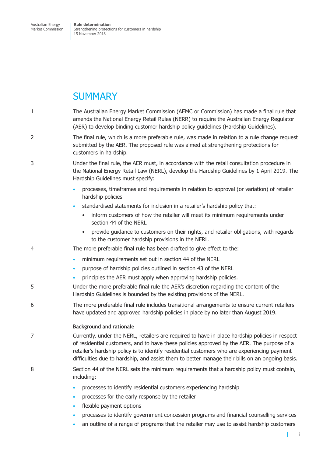# **SUMMARY**

| $\mathbf{1}$   | The Australian Energy Market Commission (AEMC or Commission) has made a final rule that<br>amends the National Energy Retail Rules (NERR) to require the Australian Energy Regulator<br>(AER) to develop binding customer hardship policy guidelines (Hardship Guidelines).                                                                                                                      |  |
|----------------|--------------------------------------------------------------------------------------------------------------------------------------------------------------------------------------------------------------------------------------------------------------------------------------------------------------------------------------------------------------------------------------------------|--|
| $\overline{2}$ | The final rule, which is a more preferable rule, was made in relation to a rule change request<br>submitted by the AER. The proposed rule was aimed at strengthening protections for<br>customers in hardship.                                                                                                                                                                                   |  |
| 3              | Under the final rule, the AER must, in accordance with the retail consultation procedure in<br>the National Energy Retail Law (NERL), develop the Hardship Guidelines by 1 April 2019. The<br>Hardship Guidelines must specify:                                                                                                                                                                  |  |
|                | processes, timeframes and requirements in relation to approval (or variation) of retailer<br>$\bullet$<br>hardship policies                                                                                                                                                                                                                                                                      |  |
|                | standardised statements for inclusion in a retailer's hardship policy that:<br>$\bullet$                                                                                                                                                                                                                                                                                                         |  |
|                | inform customers of how the retailer will meet its minimum requirements under<br>$\bullet$<br>section 44 of the NERL                                                                                                                                                                                                                                                                             |  |
|                | provide guidance to customers on their rights, and retailer obligations, with regards<br>to the customer hardship provisions in the NERL.                                                                                                                                                                                                                                                        |  |
| 4              | The more preferable final rule has been drafted to give effect to the:                                                                                                                                                                                                                                                                                                                           |  |
|                | minimum requirements set out in section 44 of the NERL<br>$\bullet$                                                                                                                                                                                                                                                                                                                              |  |
|                | purpose of hardship policies outlined in section 43 of the NERL<br>$\bullet$                                                                                                                                                                                                                                                                                                                     |  |
|                | principles the AER must apply when approving hardship policies.                                                                                                                                                                                                                                                                                                                                  |  |
| 5              | Under the more preferable final rule the AER's discretion regarding the content of the<br>Hardship Guidelines is bounded by the existing provisions of the NERL.                                                                                                                                                                                                                                 |  |
| 6              | The more preferable final rule includes transitional arrangements to ensure current retailers<br>have updated and approved hardship policies in place by no later than August 2019.                                                                                                                                                                                                              |  |
|                | <b>Background and rationale</b>                                                                                                                                                                                                                                                                                                                                                                  |  |
| 7              | Currently, under the NERL, retailers are required to have in place hardship policies in respect<br>of residential customers, and to have these policies approved by the AER. The purpose of a<br>retailer's hardship policy is to identify residential customers who are experiencing payment<br>difficulties due to hardship, and assist them to better manage their bills on an ongoing basis. |  |
| 8              | Section 44 of the NERL sets the minimum requirements that a hardship policy must contain,<br>including:                                                                                                                                                                                                                                                                                          |  |
|                | processes to identify residential customers experiencing hardship<br>$\bullet$                                                                                                                                                                                                                                                                                                                   |  |

- processes for the early response by the retailer
- flexible payment options
- processes to identify government concession programs and financial counselling services
- an outline of a range of programs that the retailer may use to assist hardship customers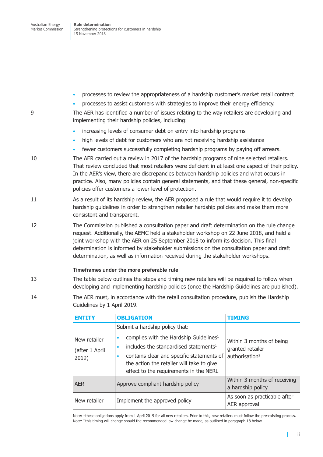- processes to review the appropriateness of a hardship customer's market retail contract
	- processes to assist customers with strategies to improve their energy efficiency.

9 The AER has identified a number of issues relating to the way retailers are developing and implementing their hardship policies, including:

- increasing levels of consumer debt on entry into hardship programs
- high levels of debt for customers who are not receiving hardship assistance
- fewer customers successfully completing hardship programs by paying off arrears.
- 10 The AER carried out a review in 2017 of the hardship programs of nine selected retailers. That review concluded that most retailers were deficient in at least one aspect of their policy. In the AER's view, there are discrepancies between hardship policies and what occurs in practice. Also, many policies contain general statements, and that these general, non-specific policies offer customers a lower level of protection.
- 11 As a result of its hardship review, the AER proposed a rule that would require it to develop hardship guidelines in order to strengthen retailer hardship policies and make them more consistent and transparent.
- 12 The Commission published a consultation paper and draft determination on the rule change request. Additionally, the AEMC held a stakeholder workshop on 22 June 2018, and held a joint workshop with the AER on 25 September 2018 to inform its decision. This final determination is informed by stakeholder submissions on the consultation paper and draft determination, as well as information received during the stakeholder workshops.

### **Timeframes under the more preferable rule**

- 13 The table below outlines the steps and timing new retailers will be required to follow when developing and implementing hardship policies (once the Hardship Guidelines are published).
- 14 The AER must, in accordance with the retail consultation procedure, publish the Hardship Guidelines by 1 April 2019.

| <b>FNTTTY</b>                           | <b>OBLIGATION</b>                                                                                                                                                                                                                                                             | <b>TIMING</b>                                                              |
|-----------------------------------------|-------------------------------------------------------------------------------------------------------------------------------------------------------------------------------------------------------------------------------------------------------------------------------|----------------------------------------------------------------------------|
| New retailer<br>(after 1 April<br>2019) | Submit a hardship policy that:<br>complies with the Hardship Guidelines <sup>1</sup><br>includes the standardised statements <sup>1</sup><br>contains clear and specific statements of<br>the action the retailer will take to give<br>effect to the requirements in the NERL | Within 3 months of being<br>granted retailer<br>authorisation <sup>2</sup> |
| <b>AER</b>                              | Approve compliant hardship policy                                                                                                                                                                                                                                             | Within 3 months of receiving<br>a hardship policy                          |
| New retailer                            | Implement the approved policy                                                                                                                                                                                                                                                 | As soon as practicable after<br>AER approval                               |

Note: <sup>1</sup> these obligations apply from 1 April 2019 for all new retailers. Prior to this, new retailers must follow the pre-existing process. Note: <sup>2</sup> this timing will change should the recommended law change be made, as outlined in paragraph 18 below.

ii

T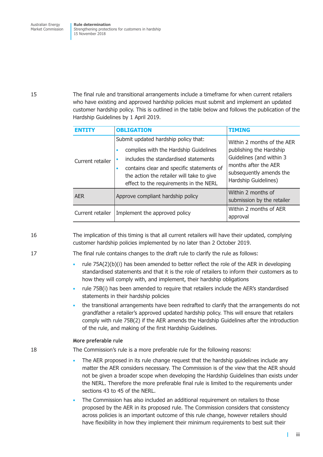15 The final rule and transitional arrangements include a timeframe for when current retailers who have existing and approved hardship policies must submit and implement an updated customer hardship policy. This is outlined in the table below and follows the publication of the Hardship Guidelines by 1 April 2019.

| <b>FNTTTY</b>    | <b>OBLIGATION</b>                                                                                                                                                                                                                                                      | <b>TIMING</b>                                                                                                                                                |
|------------------|------------------------------------------------------------------------------------------------------------------------------------------------------------------------------------------------------------------------------------------------------------------------|--------------------------------------------------------------------------------------------------------------------------------------------------------------|
| Current retailer | Submit updated hardship policy that:<br>complies with the Hardship Guidelines<br>includes the standardised statements<br>contains clear and specific statements of<br>$\bullet$<br>the action the retailer will take to give<br>effect to the requirements in the NERL | Within 2 months of the AER<br>publishing the Hardship<br>Guidelines (and within 3<br>months after the AER<br>subsequently amends the<br>Hardship Guidelines) |
| <b>AER</b>       | Approve compliant hardship policy                                                                                                                                                                                                                                      | Within 2 months of<br>submission by the retailer                                                                                                             |
| Current retailer | Implement the approved policy                                                                                                                                                                                                                                          | Within 2 months of AER<br>approval                                                                                                                           |

16 The implication of this timing is that all current retailers will have their updated, complying customer hardship policies implemented by no later than 2 October 2019.

17 The final rule contains changes to the draft rule to clarify the rule as follows:

- rule 75A(2)(b)(i) has been amended to better reflect the role of the AER in developing standardised statements and that it is the role of retailers to inform their customers as to how they will comply with, and implement, their hardship obligations
- rule 75B(i) has been amended to require that retailers include the AER's standardised statements in their hardship policies
- the transitional arrangements have been redrafted to clarify that the arrangements do not grandfather a retailer's approved updated hardship policy. This will ensure that retailers comply with rule 75B(2) if the AER amends the Hardship Guidelines after the introduction of the rule, and making of the first Hardship Guidelines.

### **More preferable rule**

18 The Commission's rule is a more preferable rule for the following reasons:

- The AER proposed in its rule change request that the hardship guidelines include any matter the AER considers necessary. The Commission is of the view that the AER should not be given a broader scope when developing the Hardship Guidelines than exists under the NERL. Therefore the more preferable final rule is limited to the requirements under sections 43 to 45 of the NERL.
- The Commission has also included an additional requirement on retailers to those proposed by the AER in its proposed rule. The Commission considers that consistency across policies is an important outcome of this rule change, however retailers should have flexibility in how they implement their minimum requirements to best suit their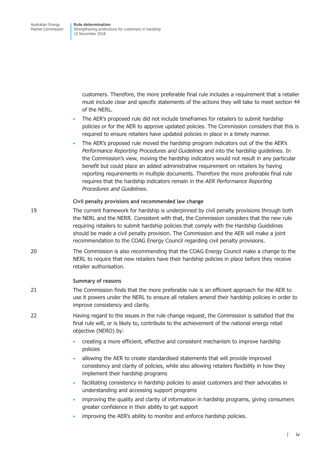customers. Therefore, the more preferable final rule includes a requirement that a retailer must include clear and specific statements of the actions they will take to meet section 44 of the NERL.

- The AER's proposed rule did not include timeframes for retailers to submit hardship policies or for the AER to approve updated policies. The Commission considers that this is required to ensure retailers have updated policies in place in a timely manner.
- The AER's proposed rule moved the hardship program indicators out of the the AER's *Performance Reporting Procedures and Guidelines* and into the hardship guidelines. In the Commission's view, moving the hardship indicators would not result in any particular benefit but could place an added administrative requirement on retailers by having reporting requirements in multiple documents. Therefore the more preferable final rule requires that the hardship indicators remain in the *AER Performance Reporting Procedures and Guidelines*.

### **Civil penalty provisions and recommended law change**

- 19 The current framework for hardship is underpinned by civil penalty provisions through both the NERL and the NERR. Consistent with that, the Commission considers that the new rule requiring retailers to submit hardship policies that comply with the Hardship Guidelines should be made a civil penalty provision. The Commission and the AER will make a joint recommendation to the COAG Energy Council regarding civil penalty provisions.
- 20 The Commission is also recommending that the COAG Energy Council make a change to the NERL to require that new retailers have their hardship policies in place before they receive retailer authorisation.

### **Summary of reasons**

- 21 The Commission finds that the more preferable rule is an efficient approach for the AER to use it powers under the NERL to ensure all retailers amend their hardship policies in order to improve consistency and clarity.
- 22 Having regard to the issues in the rule change request, the Commission is satisfied that the final rule will, or is likely to, contribute to the achievement of the national energy retail objective (NERO) by:
	- creating a more efficient, effective and consistent mechanism to improve hardship policies
	- allowing the AER to create standardised statements that will provide improved consistency and clarity of policies, while also allowing retailers flexibility in how they implement their hardship programs
	- facilitating consistency in hardship policies to assist customers and their advocates in understanding and accessing support programs
	- improving the quality and clarity of information in hardship programs, giving consumers greater confidence in their ability to get support
	- improving the AER's ability to monitor and enforce hardship policies.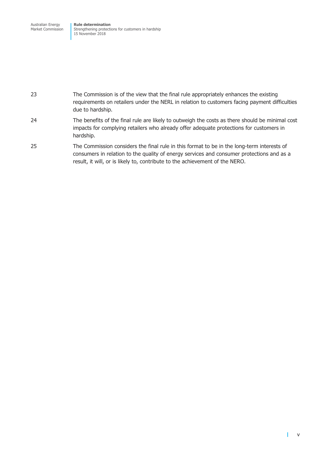Australian Energy Market Commission **Rule determination** Strengthening protections for customers in hardship 15 November 2018

### 23 The Commission is of the view that the final rule appropriately enhances the existing requirements on retailers under the NERL in relation to customers facing payment difficulties due to hardship.

- 24 The benefits of the final rule are likely to outweigh the costs as there should be minimal cost impacts for complying retailers who already offer adequate protections for customers in hardship.
- 25 The Commission considers the final rule in this format to be in the long-term interests of consumers in relation to the quality of energy services and consumer protections and as a result, it will, or is likely to, contribute to the achievement of the NERO.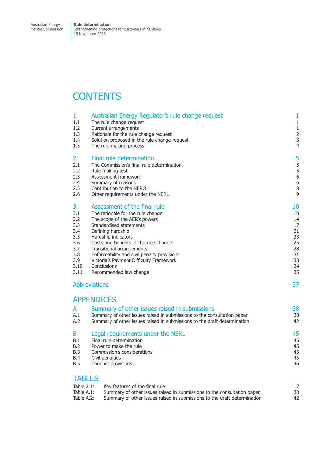# **CONTENTS**

| 1                                                       | Australian Energy Regulator's rule change request                                                                                                                                                                         | 1              |
|---------------------------------------------------------|---------------------------------------------------------------------------------------------------------------------------------------------------------------------------------------------------------------------------|----------------|
| 1.1                                                     | The rule change request                                                                                                                                                                                                   | $\mathbf 1$    |
| 1.2                                                     | Current arrangements                                                                                                                                                                                                      | $\mathbf{1}$   |
| 1.3                                                     | Rationale for the rule change request                                                                                                                                                                                     | $\overline{2}$ |
| 1.4                                                     | Solution proposed in the rule change request                                                                                                                                                                              | 3              |
| 1.5                                                     | The rule making process                                                                                                                                                                                                   | $\overline{4}$ |
| 2                                                       | Final rule determination                                                                                                                                                                                                  | 5              |
| 2.1                                                     | The Commission's final rule determination                                                                                                                                                                                 | 5              |
| 2.2                                                     | Rule making test                                                                                                                                                                                                          | 5              |
| 2.3                                                     | Assessment framework                                                                                                                                                                                                      | $\overline{6}$ |
| 2.4                                                     | Summary of reasons                                                                                                                                                                                                        | 6              |
| 2.5                                                     | Contribution to the NERO                                                                                                                                                                                                  | 8              |
| 2.6                                                     | Other requirements under the NERL                                                                                                                                                                                         | 9              |
| 3                                                       | Assessment of the final rule                                                                                                                                                                                              | 10             |
| 3.1                                                     | The rationale for the rule change                                                                                                                                                                                         | 10             |
| 3.2                                                     | The scope of the AER's powers                                                                                                                                                                                             | 14             |
| 3.3                                                     | Standardised statements                                                                                                                                                                                                   | 17             |
| 3.4                                                     | Defining hardship                                                                                                                                                                                                         | 21             |
| 3.5                                                     | Hardship indicators                                                                                                                                                                                                       | 23             |
| 3.6                                                     | Costs and benefits of the rule change                                                                                                                                                                                     | 25             |
| 3.7                                                     | Transitional arrangements                                                                                                                                                                                                 | 28             |
| 3.8                                                     | Enforceability and civil penalty provisions                                                                                                                                                                               | 31             |
| 3.9                                                     | Victoria's Payment Difficulty Framework                                                                                                                                                                                   | 33             |
| 3.10                                                    | Conclusions                                                                                                                                                                                                               | 34             |
| 3.11                                                    | Recommended law change                                                                                                                                                                                                    | 35             |
|                                                         | <b>Abbreviations</b>                                                                                                                                                                                                      | 37             |
| A<br>A.1<br>A.2                                         | <b>APPENDICES</b><br>Summary of other issues raised in submissions<br>Summary of other issues raised in submissions to the consultation paper<br>Summary of other issues raised in submissions to the draft determination | 38<br>38<br>42 |
| B                                                       | Legal requirements under the NERL                                                                                                                                                                                         | 45             |
| B.1                                                     | Final rule determination                                                                                                                                                                                                  | 45             |
| B.2                                                     | Power to make the rule                                                                                                                                                                                                    | 45             |
| B.3                                                     | Commission's considerations                                                                                                                                                                                               | 45             |
| <b>B.4</b>                                              | Civil penalties                                                                                                                                                                                                           | 45             |
| B.5                                                     | Conduct provisions                                                                                                                                                                                                        | 46             |
| <b>TABLES</b><br>Table 2.1:<br>Table A.1:<br>Table A.2: | Key features of the final rule<br>Summary of other issues raised in submissions to the consultation paper<br>Summary of other issues raised in submissions to the draft determination                                     | 7<br>38<br>42  |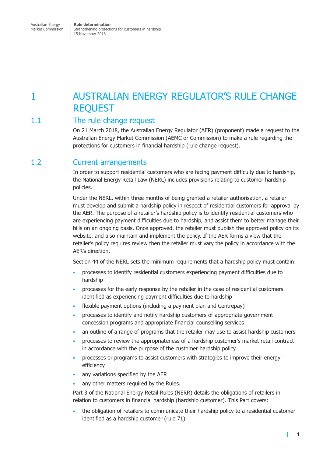# <span id="page-8-0"></span>1 AUSTRALIAN ENERGY REGULATOR'S RULE CHANGE REQUEST

## 1.1 The rule change request

On 21 March 2018, the Australian Energy Regulator (AER) (proponent) made a request to the Australian Energy Market Commission (AEMC or Commission) to make a rule regarding the protections for customers in financial hardship (rule change request).

## <span id="page-8-1"></span>1.2 Current arrangements

In order to support residential customers who are facing payment difficulty due to hardship, the National Energy Retail Law (NERL) includes provisions relating to customer hardship policies.

Under the NERL, within three months of being granted a retailer authorisation, a retailer must develop and submit a hardship policy in respect of residential customers for approval by the AER. The purpose of a retailer's hardship policy is to identify residential customers who are experiencing payment difficulties due to hardship, and assist them to better manage their bills on an ongoing basis. Once approved, the retailer must publish the approved policy on its website, and also maintain and implement the policy. If the AER forms a view that the retailer's policy requires review then the retailer must vary the policy in accordance with the AER's direction.

Section 44 of the NERL sets the minimum requirements that a hardship policy must contain:

- processes to identify residential customers experiencing payment difficulties due to hardship
- processes for the early response by the retailer in the case of residential customers identified as experiencing payment difficulties due to hardship
- flexible payment options (including a payment plan and Centrepay)
- processes to identify and notify hardship customers of appropriate government concession programs and appropriate financial counselling services
- an outline of a range of programs that the retailer may use to assist hardship customers
- processes to review the appropriateness of a hardship customer's market retail contract in accordance with the purpose of the customer hardship policy
- processes or programs to assist customers with strategies to improve their energy efficiency
- any variations specified by the AER
- any other matters required by the Rules.

Part 3 of the National Energy Retail Rules (NERR) details the obligations of retailers in relation to customers in financial hardship (hardship customer). This Part covers:

• the obligation of retailers to communicate their hardship policy to a residential customer identified as a hardship customer (rule 71)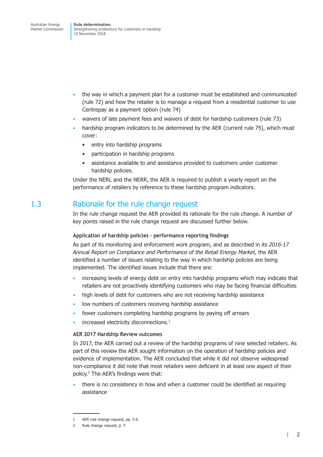- <span id="page-9-0"></span>• the way in which a payment plan for a customer must be established and communicated (rule 72) and how the retailer is to manage a request from a residential customer to use Centrepay as a payment option (rule 74)
- waivers of late payment fees and waivers of debt for hardship customers (rule 73)
- hardship program indicators to be determined by the AER (current rule 75), which must cover:
	- entry into hardship programs
	- participation in hardship programs
	- assistance available to and assistance provided to customers under customer hardship policies.

Under the NERL and the NERR, the AER is required to publish a yearly report on the performance of retailers by reference to these hardship program indicators.

### <span id="page-9-1"></span>1.3 Rationale for the rule change request

In the rule change request the AER provided its rationale for the rule change. A number of key points raised in the rule change request are discussed further below.

### **Application of hardship policies - performance reporting findings**

As part of its monitoring and enforcement work program, and as described in its *2016-17 Annual Report on Compliance and Performance of the Retail Energy Market*, the AER identified a number of issues relating to the way in which hardship policies are being implemented. The identified issues include that there are:

- increasing levels of energy debt on entry into hardship programs which may indicate that retailers are not proactively identifying customers who may be facing financial difficulties
- high levels of debt for customers who are not receiving hardship assistance
- low numbers of customers receiving hardship assistance
- fewer customers completing hardship programs by paying off arrears
- increased electricity disconnections.<sup>1</sup>

### **AER 2017 Hardship Review outcomes**

In 2017, the AER carried out a review of the hardship programs of nine selected retailers. As part of this review the AER sought information on the operation of hardship policies and evidence of implementation. The AER concluded that while it did not observe widespread non-compliance it did note that most retailers were deficient in at least one aspect of their policy. <sup>2</sup> The AER's findings were that:

• there is no consistency in how and when a customer could be identified as requiring assistance

<sup>1</sup> AER rule change request, pp. 5-6.

<sup>2</sup> Rule change request, p. 7.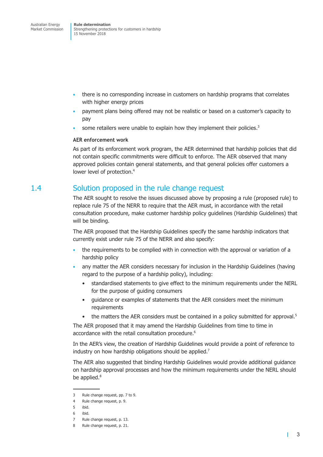- <span id="page-10-0"></span>• there is no corresponding increase in customers on hardship programs that correlates with higher energy prices
- payment plans being offered may not be realistic or based on a customer's capacity to pay
- some retailers were unable to explain how they implement their policies.<sup>3</sup>

### **AER enforcement work**

As part of its enforcement work program, the AER determined that hardship policies that did not contain specific commitments were difficult to enforce. The AER observed that many approved policies contain general statements, and that general policies offer customers a lower level of protection. 4

### <span id="page-10-1"></span>1.4 Solution proposed in the rule change request

The AER sought to resolve the issues discussed above by proposing a rule (proposed rule) to replace rule 75 of the NERR to require that the AER must, in accordance with the retail consultation procedure, make customer hardship policy guidelines (Hardship Guidelines) that will be binding.

The AER proposed that the Hardship Guidelines specify the same hardship indicators that currently exist under rule 75 of the NERR and also specify:

- the requirements to be complied with in connection with the approval or variation of a hardship policy
- any matter the AER considers necessary for inclusion in the Hardship Guidelines (having regard to the purpose of a hardship policy), including:
	- standardised statements to give effect to the minimum requirements under the NERL for the purpose of guiding consumers
	- guidance or examples of statements that the AER considers meet the minimum requirements
	- the matters the AER considers must be contained in a policy submitted for approval.<sup>5</sup>

The AER proposed that it may amend the Hardship Guidelines from time to time in accordance with the retail consultation procedure. 6

In the AER's view, the creation of Hardship Guidelines would provide a point of reference to industry on how hardship obligations should be applied. 7

The AER also suggested that binding Hardship Guidelines would provide additional guidance on hardship approval processes and how the minimum requirements under the NERL should be applied.<sup>8</sup>

<sup>3</sup> Rule change request, pp. 7 to 9.

<sup>4</sup> Rule change request, p. 9.

<sup>5</sup> ibid.

<sup>6</sup> ibid.

<sup>7</sup> Rule change request, p. 13.

<sup>8</sup> Rule change request, p. 21.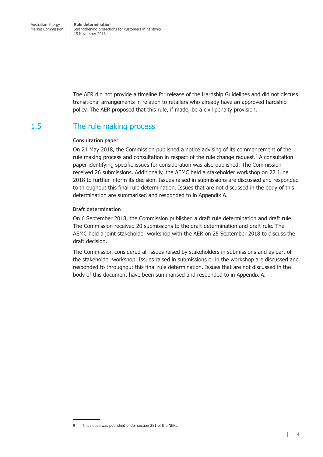<span id="page-11-0"></span>The AER did not provide a timeline for release of the Hardship Guidelines and did not discuss transitional arrangements in relation to retailers who already have an approved hardship policy. The AER proposed that this rule, if made, be a civil penalty provision.

## 1.5 The rule making process

### **Consultation paper**

On 24 May 2018, the Commission published a notice advising of its commencement of the rule making process and consultation in respect of the rule change request.<sup>9</sup> A consultation paper identifying specific issues for consideration was also published. The Commission received 26 submissions. Additionally, the AEMC held a stakeholder workshop on 22 June 2018 to further inform its decision. Issues raised in submissions are discussed and responded to throughout this final rule determination. Issues that are not discussed in the body of this determination are summarised and responded to in Appendix A.

### **Draft determination**

On 6 September 2018, the Commission published a draft rule determination and draft rule. The Commission received 20 submissions to the draft determination and draft rule. The AEMC held a joint stakeholder workshop with the AER on 25 September 2018 to discuss the draft decision.

The Commission considered all issues raised by stakeholders in submissions and as part of the stakeholder workshop. Issues raised in submissions or in the workshop are discussed and responded to throughout this final rule determination. Issues that are not discussed in the body of this document have been summarised and responded to in Appendix A.

<sup>9</sup> This notice was published under section 251 of the NERL.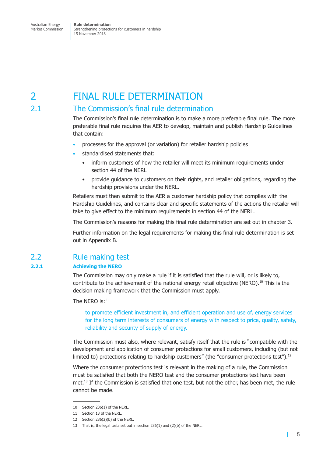<span id="page-12-1"></span><span id="page-12-0"></span>2 FINAL RULE DETERMINATION

### 2.1 The Commission's final rule determination

The Commission's final rule determination is to make a more preferable final rule. The more preferable final rule requires the AER to develop, maintain and publish Hardship Guidelines that contain:

- processes for the approval (or variation) for retailer hardship policies
- standardised statements that:
	- inform customers of how the retailer will meet its minimum requirements under section 44 of the NERL
	- provide guidance to customers on their rights, and retailer obligations, regarding the hardship provisions under the NERL.

Retailers must then submit to the AER a customer hardship policy that complies with the Hardship Guidelines, and contains clear and specific statements of the actions the retailer will take to give effect to the minimum requirements in section 44 of the NERL.

The Commission's reasons for making this final rule determination are set out in [chapter](#page-17-1) 3.

Further information on the legal requirements for making this final rule determination is set out in Appendix B.

### 2.2 Rule making test

### **2.2.1 Achieving the NERO**

The Commission may only make a rule if it is satisfied that the rule will, or is likely to, contribute to the achievement of the national energy retail objective (NERO). <sup>10</sup> This is the decision making framework that the Commission must apply.

The NERO is: $^{11}$ 

to promote efficient investment in, and efficient operation and use of, energy services for the long term interests of consumers of energy with respect to price, quality, safety, reliability and security of supply of energy.

The Commission must also, where relevant, satisfy itself that the rule is "compatible with the development and application of consumer protections for small customers, including (but not limited to) protections relating to hardship customers" (the "consumer protections test").<sup>12</sup>

Where the consumer protections test is relevant in the making of a rule, the Commission must be satisfied that both the NERO test and the consumer protections test have been met. <sup>13</sup> If the Commission is satisfied that one test, but not the other, has been met, the rule cannot be made.

<sup>10</sup> Section 236(1) of the NERL.

<sup>11</sup> Section 13 of the NERL.

<sup>12</sup> Section 236(2)(b) of the NERL.

<sup>13</sup> That is, the legal tests set out in section 236(1) and (2)(b) of the NERL.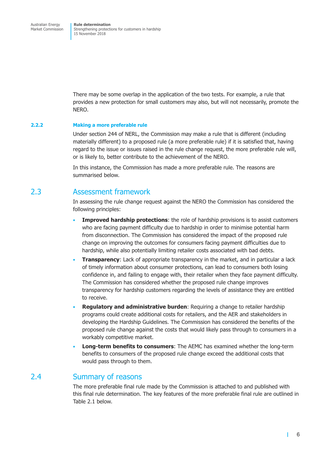<span id="page-13-0"></span>There may be some overlap in the application of the two tests. For example, a rule that provides a new protection for small customers may also, but will not necessarily, promote the NERO.

### **2.2.2 Making a more preferable rule**

Under section 244 of NERL, the Commission may make a rule that is different (including materially different) to a proposed rule (a more preferable rule) if it is satisfied that, having regard to the issue or issues raised in the rule change request, the more preferable rule will, or is likely to, better contribute to the achievement of the NERO.

In this instance, the Commission has made a more preferable rule. The reasons are summarised below.

### 2.3 Assessment framework

In assessing the rule change request against the NERO the Commission has considered the following principles:

- **Improved hardship protections**: the role of hardship provisions is to assist customers who are facing payment difficulty due to hardship in order to minimise potential harm from disconnection. The Commission has considered the impact of the proposed rule change on improving the outcomes for consumers facing payment difficulties due to hardship, while also potentially limiting retailer costs associated with bad debts.
- **Transparency:** Lack of appropriate transparency in the market, and in particular a lack of timely information about consumer protections, can lead to consumers both losing confidence in, and failing to engage with, their retailer when they face payment difficulty. The Commission has considered whether the proposed rule change improves transparency for hardship customers regarding the levels of assistance they are entitled to receive.
- **Regulatory and administrative burden**: Requiring a change to retailer hardship programs could create additional costs for retailers, and the AER and stakeholders in developing the Hardship Guidelines. The Commission has considered the benefits of the proposed rule change against the costs that would likely pass through to consumers in a workably competitive market.
- **Long-term benefits to consumers**: The AEMC has examined whether the long-term benefits to consumers of the proposed rule change exceed the additional costs that would pass through to them.

### <span id="page-13-1"></span>2.4 Summary of reasons

The more preferable final rule made by the Commission is attached to and published with this final rule determination. The key features of the more preferable final rule are outlined in [Table](#page-13-1) 2.1 below.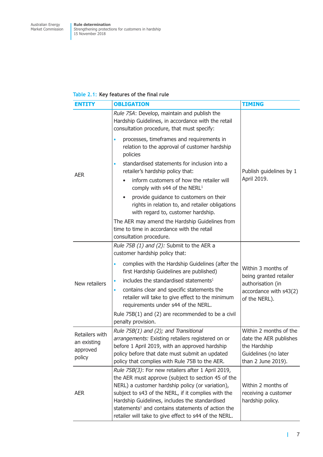### <span id="page-14-0"></span>**Table 2.1: Key features of the final rule**

| <b>ENTITY</b>                                                                                                                                                                                                                                                                                           | <b>OBLIGATION</b>                                                                                                                                                                                                                                                                                                                                                                               | <b>TIMING</b>                                                                                                  |
|---------------------------------------------------------------------------------------------------------------------------------------------------------------------------------------------------------------------------------------------------------------------------------------------------------|-------------------------------------------------------------------------------------------------------------------------------------------------------------------------------------------------------------------------------------------------------------------------------------------------------------------------------------------------------------------------------------------------|----------------------------------------------------------------------------------------------------------------|
|                                                                                                                                                                                                                                                                                                         | Rule 75A: Develop, maintain and publish the<br>Hardship Guidelines, in accordance with the retail<br>consultation procedure, that must specify:                                                                                                                                                                                                                                                 |                                                                                                                |
|                                                                                                                                                                                                                                                                                                         | processes, timeframes and requirements in<br>relation to the approval of customer hardship<br>policies                                                                                                                                                                                                                                                                                          |                                                                                                                |
| <b>AER</b>                                                                                                                                                                                                                                                                                              | standardised statements for inclusion into a<br>retailer's hardship policy that:<br>Publish guidelines by 1                                                                                                                                                                                                                                                                                     |                                                                                                                |
|                                                                                                                                                                                                                                                                                                         | inform customers of how the retailer will<br>comply with s44 of the NERL <sup>1</sup>                                                                                                                                                                                                                                                                                                           | April 2019.                                                                                                    |
|                                                                                                                                                                                                                                                                                                         | provide guidance to customers on their<br>rights in relation to, and retailer obligations<br>with regard to, customer hardship.                                                                                                                                                                                                                                                                 |                                                                                                                |
|                                                                                                                                                                                                                                                                                                         | The AER may amend the Hardship Guidelines from<br>time to time in accordance with the retail<br>consultation procedure.                                                                                                                                                                                                                                                                         |                                                                                                                |
|                                                                                                                                                                                                                                                                                                         | Rule 75B (1) and (2): Submit to the AER a<br>customer hardship policy that:                                                                                                                                                                                                                                                                                                                     |                                                                                                                |
|                                                                                                                                                                                                                                                                                                         | complies with the Hardship Guidelines (after the<br>first Hardship Guidelines are published)                                                                                                                                                                                                                                                                                                    | Within 3 months of<br>being granted retailer                                                                   |
| New retailers                                                                                                                                                                                                                                                                                           | includes the standardised statements <sup>1</sup>                                                                                                                                                                                                                                                                                                                                               | authorisation (in                                                                                              |
|                                                                                                                                                                                                                                                                                                         | contains clear and specific statements the<br>٠<br>retailer will take to give effect to the minimum<br>requirements under s44 of the NERL.                                                                                                                                                                                                                                                      | accordance with s43(2)<br>of the NERL).                                                                        |
|                                                                                                                                                                                                                                                                                                         | Rule 75B(1) and (2) are recommended to be a civil<br>penalty provision.                                                                                                                                                                                                                                                                                                                         |                                                                                                                |
| Rule 75B(1) and (2); and Transitional<br>Retailers with<br>arrangements: Existing retailers registered on or<br>an existing<br>before 1 April 2019, with an approved hardship<br>approved<br>policy before that date must submit an updated<br>policy<br>policy that complies with Rule 75B to the AER. |                                                                                                                                                                                                                                                                                                                                                                                                 | Within 2 months of the<br>date the AER publishes<br>the Hardship<br>Guidelines (no later<br>than 2 June 2019). |
| <b>AER</b>                                                                                                                                                                                                                                                                                              | Rule 75B(3): For new retailers after 1 April 2019,<br>the AER must approve (subject to section 45 of the<br>NERL) a customer hardship policy (or variation),<br>subject to s43 of the NERL, if it complies with the<br>Hardship Guidelines, includes the standardised<br>statements <sup>1</sup> and contains statements of action the<br>retailer will take to give effect to s44 of the NERL. | Within 2 months of<br>receiving a customer<br>hardship policy.                                                 |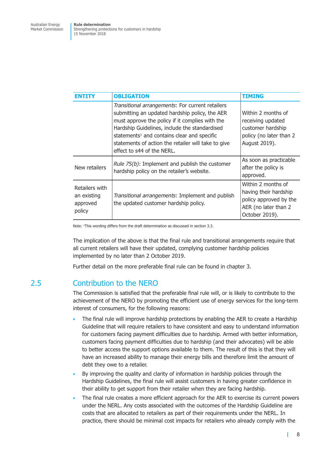<span id="page-15-0"></span>

| <b>ENTITY</b>                                       | <b>OBLIGATION</b>                                                                                                                                                                                                                                                                                                                                      | TIMING                                                                                                          |
|-----------------------------------------------------|--------------------------------------------------------------------------------------------------------------------------------------------------------------------------------------------------------------------------------------------------------------------------------------------------------------------------------------------------------|-----------------------------------------------------------------------------------------------------------------|
|                                                     | Transitional arrangements: For current retailers<br>submitting an updated hardship policy, the AER<br>must approve the policy if it complies with the<br>Hardship Guidelines, include the standardised<br>statements <sup>1</sup> and contains clear and specific<br>statements of action the retailer will take to give<br>effect to s44 of the NERL. | Within 2 months of<br>receiving updated<br>customer hardship<br>policy (no later than 2<br>August 2019).        |
| New retailers                                       | <i>Rule 75(b)</i> : Implement and publish the customer<br>hardship policy on the retailer's website.                                                                                                                                                                                                                                                   | As soon as practicable<br>after the policy is<br>approved.                                                      |
| Retailers with<br>an existing<br>approved<br>policy | Transitional arrangements: Implement and publish<br>the updated customer hardship policy.                                                                                                                                                                                                                                                              | Within 2 months of<br>having their hardship<br>policy approved by the<br>AER (no later than 2<br>October 2019). |

Note: <sup>1</sup> This wording differs from the draft determination as discussed in [section](#page-24-1) 3.3.

The implication of the above is that the final rule and transitional arrangements require that all current retailers will have their updated, complying customer hardship policies implemented by no later than 2 October 2019.

Further detail on the more preferable final rule can be found in [chapter](#page-17-1) 3.

### 2.5 Contribution to the NERO

The Commission is satisfied that the preferable final rule will, or is likely to contribute to the achievement of the NERO by promoting the efficient use of energy services for the long-term interest of consumers, for the following reasons:

- The final rule will improve hardship protections by enabling the AER to create a Hardship Guideline that will require retailers to have consistent and easy to understand information for customers facing payment difficulties due to hardship. Armed with better information, customers facing payment difficulties due to hardship (and their advocates) will be able to better access the support options available to them. The result of this is that they will have an increased ability to manage their energy bills and therefore limit the amount of debt they owe to a retailer.
- By improving the quality and clarity of information in hardship policies through the Hardship Guidelines, the final rule will assist customers in having greater confidence in their ability to get support from their retailer when they are facing hardship.
- The final rule creates a more efficient approach for the AER to exercise its current powers under the NERL. Any costs associated with the outcomes of the Hardship Guideline are costs that are allocated to retailers as part of their requirements under the NERL. In practice, there should be minimal cost impacts for retailers who already comply with the

I.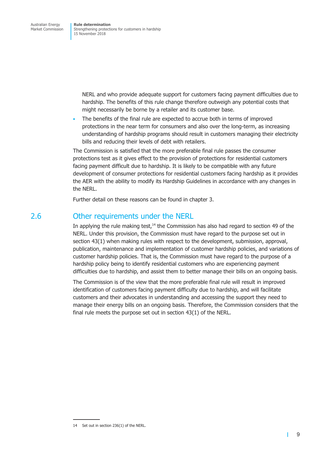<span id="page-16-0"></span>NERL and who provide adequate support for customers facing payment difficulties due to hardship. The benefits of this rule change therefore outweigh any potential costs that might necessarily be borne by a retailer and its customer base.

The benefits of the final rule are expected to accrue both in terms of improved protections in the near term for consumers and also over the long-term, as increasing understanding of hardship programs should result in customers managing their electricity bills and reducing their levels of debt with retailers.

The Commission is satisfied that the more preferable final rule passes the consumer protections test as it gives effect to the provision of protections for residential customers facing payment difficult due to hardship. It is likely to be compatible with any future development of consumer protections for residential customers facing hardship as it provides the AER with the ability to modify its Hardship Guidelines in accordance with any changes in the NERL.

Further detail on these reasons can be found in [chapter](#page-17-1) 3.

### 2.6 Other requirements under the NERL

In applying the rule making test,<sup>14</sup> the Commission has also had regard to section 49 of the NERL. Under this provision, the Commission must have regard to the purpose set out in section 43(1) when making rules with respect to the development, submission, approval, publication, maintenance and implementation of customer hardship policies, and variations of customer hardship policies. That is, the Commission must have regard to the purpose of a hardship policy being to identify residential customers who are experiencing payment difficulties due to hardship, and assist them to better manage their bills on an ongoing basis.

The Commission is of the view that the more preferable final rule will result in improved identification of customers facing payment difficulty due to hardship, and will facilitate customers and their advocates in understanding and accessing the support they need to manage their energy bills on an ongoing basis. Therefore, the Commission considers that the final rule meets the purpose set out in section 43(1) of the NERL.

<sup>14</sup> Set out in section 236(1) of the NERL.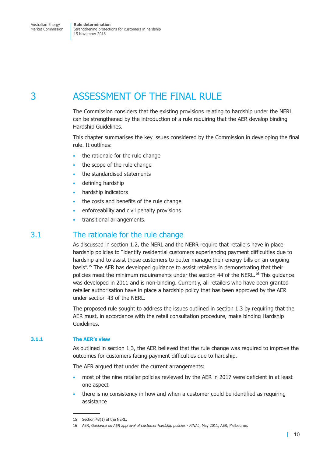# <span id="page-17-1"></span><span id="page-17-0"></span>3 ASSESSMENT OF THE FINAL RULE

The Commission considers that the existing provisions relating to hardship under the NERL can be strengthened by the introduction of a rule requiring that the AER develop binding Hardship Guidelines.

This chapter summarises the key issues considered by the Commission in developing the final rule. It outlines:

- the rationale for the rule change
- the scope of the rule change
- the standardised statements
- defining hardship
- hardship indicators
- the costs and benefits of the rule change
- enforceability and civil penalty provisions
- transitional arrangements.

### 3.1 The rationale for the rule change

As discussed in [section](#page-8-1) 1.2, the NERL and the NERR require that retailers have in place hardship policies to "identify residential customers experiencing payment difficulties due to hardship and to assist those customers to better manage their energy bills on an ongoing basis". <sup>15</sup> The AER has developed guidance to assist retailers in demonstrating that their policies meet the minimum requirements under the section 44 of the NERL.<sup>16</sup> This guidance was developed in 2011 and is non-binding. Currently, all retailers who have been granted retailer authorisation have in place a hardship policy that has been approved by the AER under section 43 of the NERL.

The proposed rule sought to address the issues outlined in [section](#page-9-1) 1.3 by requiring that the AER must, in accordance with the retail consultation procedure, make binding Hardship Guidelines.

### **3.1.1 The AER's view**

As outlined in [section](#page-9-1) 1.3, the AER believed that the rule change was required to improve the outcomes for customers facing payment difficulties due to hardship.

The AER argued that under the current arrangements:

- most of the nine retailer policies reviewed by the AER in 2017 were deficient in at least one aspect
- there is no consistency in how and when a customer could be identified as requiring assistance

<sup>15</sup> Section 43(1) of the NERL.

<sup>16</sup> AER, *Guidance on AER approval of customer hardship policies - FINAL*, May 2011, AER, Melbourne.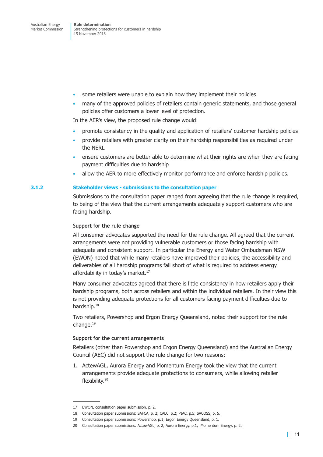- some retailers were unable to explain how they implement their policies
- many of the approved policies of retailers contain generic statements, and those general policies offer customers a lower level of protection.

In the AER's view, the proposed rule change would:

- promote consistency in the quality and application of retailers' customer hardship policies
- provide retailers with greater clarity on their hardship responsibilities as required under the NERL
- ensure customers are better able to determine what their rights are when they are facing payment difficulties due to hardship
- allow the AER to more effectively monitor performance and enforce hardship policies.

### <span id="page-18-0"></span>**3.1.2 Stakeholder views - submissions to the consultation paper**

Submissions to the consultation paper ranged from agreeing that the rule change is required, to being of the view that the current arrangements adequately support customers who are facing hardship.

### **Support for the rule change**

All consumer advocates supported the need for the rule change. All agreed that the current arrangements were not providing vulnerable customers or those facing hardship with adequate and consistent support. In particular the Energy and Water Ombudsman NSW (EWON) noted that while many retailers have improved their policies, the accessibility and deliverables of all hardship programs fall short of what is required to address energy affordability in today's market. 17

Many consumer advocates agreed that there is little consistency in how retailers apply their hardship programs, both across retailers and within the individual retailers. In their view this is not providing adequate protections for all customers facing payment difficulties due to hardship.<sup>18</sup>

Two retailers, Powershop and Ergon Energy Queensland, noted their support for the rule change. 19

### **Support for the current arrangements**

Retailers (other than Powershop and Ergon Energy Queensland) and the Australian Energy Council (AEC) did not support the rule change for two reasons:

1. ActewAGL, Aurora Energy and Momentum Energy took the view that the current arrangements provide adequate protections to consumers, while allowing retailer flexibility. 20

<sup>17</sup> EWON, consultation paper submission, p. 2.

<sup>18</sup> Consultation paper submissions: SAFCA, p, 2; CALC, p.2; PIAC, p.5; SACOSS, p. 5.

<sup>19</sup> Consultation paper submissions: Powershop, p.1; Ergon Energy Queensland, p. 1.

<sup>20</sup> Consultation paper submissions: ActewAGL, p. 2; Aurora Energy. p.1; Momentum Energy, p. 2.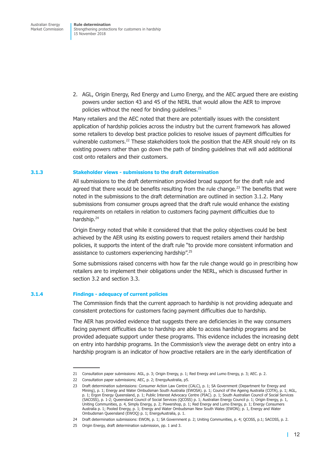2. AGL, Origin Energy, Red Energy and Lumo Energy, and the AEC argued there are existing powers under section 43 and 45 of the NERL that would allow the AER to improve policies without the need for binding guidelines. 21

Many retailers and the AEC noted that there are potentially issues with the consistent application of hardship policies across the industry but the current framework has allowed some retailers to develop best practice policies to resolve issues of payment difficulties for vulnerable customers.<sup>22</sup> These stakeholders took the position that the AER should rely on its existing powers rather than go down the path of binding guidelines that will add additional cost onto retailers and their customers.

### **3.1.3 Stakeholder views - submissions to the draft determination**

All submissions to the draft determination provided broad support for the draft rule and agreed that there would be benefits resulting from the rule change.<sup>23</sup> The benefits that were noted in the submissions to the draft determination are outlined in [section](#page-18-0) 3.1.2. Many submissions from consumer groups agreed that the draft rule would enhance the existing requirements on retailers in relation to customers facing payment difficulties due to hardship. 24

Origin Energy noted that while it considered that that the policy objectives could be best achieved by the AER using its existing powers to request retailers amend their hardship policies, it supports the intent of the draft rule "to provide more consistent information and assistance to customers experiencing hardship".<sup>25</sup>

Some submissions raised concerns with how far the rule change would go in prescribing how retailers are to implement their obligations under the NERL, which is discussed further in [section](#page-21-1) 3.2 and [section](#page-24-1) 3.3.

### <span id="page-19-0"></span>**3.1.4 Findings - adequacy of current policies**

The Commission finds that the current approach to hardship is not providing adequate and consistent protections for customers facing payment difficulties due to hardship.

The AER has provided evidence that suggests there are deficiencies in the way consumers facing payment difficulties due to hardship are able to access hardship programs and be provided adequate support under these programs. This evidence includes the increasing debt on entry into hardship programs. In the Commission's view the average debt on entry into a hardship program is an indicator of how proactive retailers are in the early identification of

<sup>21</sup> Consultation paper submissions: AGL, p. 3; Origin Energy, p. 1; Red Energy and Lumo Energy, p. 3; AEC. p. 2.

<sup>22</sup> Consultation paper submissions; AEC, p. 2; EnergyAustralia, p5.

<sup>23</sup> Draft determination submissions: Consumer Action Law Centre (CALC), p. 1; SA Government (Department for Energy and Mining), p. 1; Energy and Water Ombudsman South Australia (EWOSA). p. 1; Council of the Ageing Australia (COTA), p. 1; AGL, p. 1; Ergon Energy Queensland, p. 1; Public Interest Advocacy Centre (PIAC). p. 1; South Australian Council of Social Services (SACOSS), p. 1-2; Queensland Council of Social Services (QCOSS) p. 1; Australian Energy Council p. 1; Origin Energy, p. 1, Uniting Communities, p. 4, Simply Energy, p. 2; Powershop, p. 1; Red Energy and Lumo Energy, p. 1; Energy Consumers Australia p. 1; Pooled Energy, p. 1; Energy and Water Ombudsman New South Wales (EWON); p. 1, Energy and Water Ombudsman Queensland (EWOQ) p. 1; EnergyAustralia, p. 1.

<sup>24</sup> Draft determination submissions: EWON, p. 1; SA Government p. 2; Uniting Communities, p. 4; QCOSS, p.1; SACOSS, p. 2.

<sup>25</sup> Origin Energy, draft determination submission, pp. 1 and 3.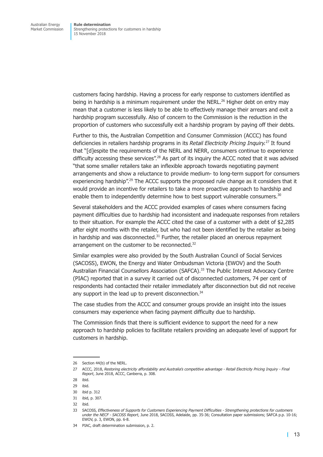customers facing hardship. Having a process for early response to customers identified as being in hardship is a minimum requirement under the NERL. <sup>26</sup> Higher debt on entry may mean that a customer is less likely to be able to effectively manage their arrears and exit a hardship program successfully. Also of concern to the Commission is the reduction in the proportion of customers who successfully exit a hardship program by paying off their debts.

Further to this, the Australian Competition and Consumer Commission (ACCC) has found deficiencies in retailers hardship programs in its *Retail Electricity Pricing Inquiry.* <sup>27</sup> It found that "[d]espite the requirements of the NERL and NERR, consumers continue to experience difficulty accessing these services".<sup>28</sup> As part of its inquiry the ACCC noted that it was advised "that some smaller retailers take an inflexible approach towards negotiating payment arrangements and show a reluctance to provide medium- to long-term support for consumers experiencing hardship".<sup>29</sup> The ACCC supports the proposed rule change as it considers that it would provide an incentive for retailers to take a more proactive approach to hardship and enable them to independently determine how to best support vulnerable consumers.<sup>30</sup>

Several stakeholders and the ACCC provided examples of cases where consumers facing payment difficulties due to hardship had inconsistent and inadequate responses from retailers to their situation. For example the ACCC cited the case of a customer with a debt of \$2,285 after eight months with the retailer, but who had not been identified by the retailer as being in hardship and was disconnected.<sup>31</sup> Further, the retailer placed an onerous repayment arrangement on the customer to be reconnected.<sup>32</sup>

Similar examples were also provided by the South Australian Council of Social Services (SACOSS), EWON, the Energy and Water Ombudsman Victoria (EWOV) and the South Australian Financial Counsellors Association (SAFCA). <sup>33</sup> The Public Interest Advocacy Centre (PIAC) reported that in a survey it carried out of disconnected customers, 74 per cent of respondents had contacted their retailer immediately after disconnection but did not receive any support in the lead up to prevent disconnection.<sup>34</sup>

The case studies from the ACCC and consumer groups provide an insight into the issues consumers may experience when facing payment difficulty due to hardship.

The Commission finds that there is sufficient evidence to support the need for a new approach to hardship policies to facilitate retailers providing an adequate level of support for customers in hardship.

<sup>26</sup> Section 44(b) of the NERL.

<sup>27</sup> ACCC, 2018, Restoring electricity affordability and Australia's competitive advantage - Retail Electricity Pricing Inquiry - Final *Report*, June 2018, ACCC, Canberra, p. 308.

<sup>28</sup> ibid.

<sup>29</sup> ibid.

<sup>30</sup> ibid p. 312

<sup>31</sup> ibid, p. 307.

<sup>32</sup> ibid.

<sup>33</sup> SACOSS, *Effectiveness of Supports for Customers Experiencing Payment Difficulties - Strengthening protections for customers under the NECF - SACOSS Report*, June 2018, SACOSS, Adelaide, pp. 35-36; Consultation paper submissions; SAFCA p.p. 10-16; EWOV, p. 3, EWON, pp. 6-8.

<sup>34</sup> PIAC, draft determination submission, p. 2.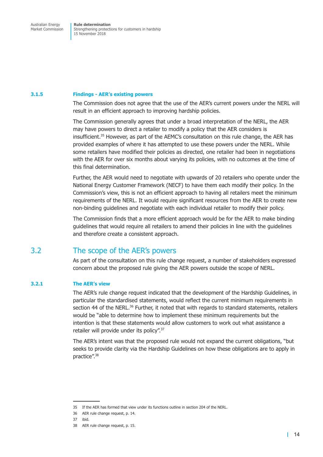#### <span id="page-21-0"></span>**3.1.5 Findings - AER's existing powers**

The Commission does not agree that the use of the AER's current powers under the NERL will result in an efficient approach to improving hardship policies.

The Commission generally agrees that under a broad interpretation of the NERL, the AER may have powers to direct a retailer to modify a policy that the AER considers is insufficient. <sup>35</sup> However, as part of the AEMC's consultation on this rule change, the AER has provided examples of where it has attempted to use these powers under the NERL. While some retailers have modified their policies as directed, one retailer had been in negotiations with the AER for over six months about varying its policies, with no outcomes at the time of this final determination.

Further, the AER would need to negotiate with upwards of 20 retailers who operate under the National Energy Customer Framework (NECF) to have them each modify their policy. In the Commission's view, this is not an efficient approach to having all retailers meet the minimum requirements of the NERL. It would require significant resources from the AER to create new non-binding guidelines and negotiate with each individual retailer to modify their policy.

The Commission finds that a more efficient approach would be for the AER to make binding guidelines that would require all retailers to amend their policies in line with the guidelines and therefore create a consistent approach.

### <span id="page-21-1"></span>3.2 The scope of the AER's powers

As part of the consultation on this rule change request, a number of stakeholders expressed concern about the proposed rule giving the AER powers outside the scope of NERL.

### **3.2.1 The AER's view**

The AER's rule change request indicated that the development of the Hardship Guidelines, in particular the standardised statements, would reflect the current minimum requirements in section 44 of the NERL.<sup>36</sup> Further, it noted that with regards to standard statements, retailers would be "able to determine how to implement these minimum requirements but the intention is that these statements would allow customers to work out what assistance a retailer will provide under its policy".<sup>37</sup>

The AER's intent was that the proposed rule would not expand the current obligations, "but seeks to provide clarity via the Hardship Guidelines on how these obligations are to apply in practice". 38

<sup>35</sup> If the AER has formed that view under its functions outline in section 204 of the NERL.

<sup>36</sup> AER rule change request, p. 14.

<sup>37</sup> ibid.

<sup>38</sup> AER rule change request, p. 15.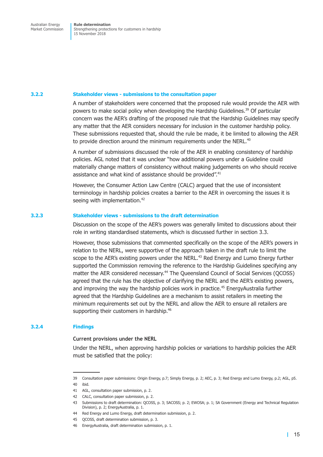#### **3.2.2 Stakeholder views - submissions to the consultation paper**

A number of stakeholders were concerned that the proposed rule would provide the AER with powers to make social policy when developing the Hardship Guidelines. <sup>39</sup> Of particular concern was the AER's drafting of the proposed rule that the Hardship Guidelines may specify any matter that the AER considers necessary for inclusion in the customer hardship policy. These submissions requested that, should the rule be made, it be limited to allowing the AER to provide direction around the minimum requirements under the NERL. $^{40}$ 

A number of submissions discussed the role of the AER in enabling consistency of hardship policies. AGL noted that it was unclear "how additional powers under a Guideline could materially change matters of consistency without making judgements on who should receive assistance and what kind of assistance should be provided".<sup>41</sup>

However, the Consumer Action Law Centre (CALC) argued that the use of inconsistent terminology in hardship policies creates a barrier to the AER in overcoming the issues it is seeing with implementation.<sup>42</sup>

### **3.2.3 Stakeholder views - submissions to the draft determination**

Discussion on the scope of the AER's powers was generally limited to discussions about their role in writing standardised statements, which is discussed further in [section](#page-24-1) 3.3.

However, those submissions that commented specifically on the scope of the AER's powers in relation to the NERL, were supportive of the approach taken in the draft rule to limit the scope to the AER's existing powers under the NERL.<sup>43</sup> Red Energy and Lumo Energy further supported the Commission removing the reference to the Hardship Guidelines specifying any matter the AER considered necessary.<sup>44</sup> The Queensland Council of Social Services (QCOSS) agreed that the rule has the objective of clarifying the NERL and the AER's existing powers, and improving the way the hardship policies work in practice. <sup>45</sup> EnergyAustralia further agreed that the Hardship Guidelines are a mechanism to assist retailers in meeting the minimum requirements set out by the NERL and allow the AER to ensure all retailers are supporting their customers in hardship. 46

### **3.2.4 Findings**

### **Current provisions under the NERL**

Under the NERL, when approving hardship policies or variations to hardship policies the AER must be satisfied that the policy:

<sup>39</sup> Consultation paper submissions: Origin Energy, p.7; Simply Energy, p. 2; AEC, p. 3; Red Energy and Lumo Energy, p.2; AGL, p5. 40 ibid.

<sup>41</sup> AGL, consultation paper submission, p. 2.

<sup>42</sup> CALC, consultation paper submission, p. 2.

<sup>43</sup> Submissions to draft determination: QCOSS, p. 3; SACOSS; p. 2; EWOSA; p. 1; SA Government (Energy and Technical Regulation Division), p. 2; EnergyAustralia, p. 1.

<sup>44</sup> Red Energy and Lumo Energy, draft determination submission, p. 2.

<sup>45</sup> QCOSS, draft determination submission, p. 3.

<sup>46</sup> EnergyAustralia, draft determination submission, p. 1.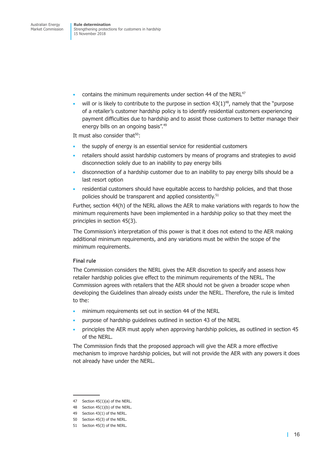- contains the minimum requirements under section 44 of the NERL $47$
- will or is likely to contribute to the purpose in section  $43(1)^{48}$ , namely that the "purpose of a retailer's customer hardship policy is to identify residential customers experiencing payment difficulties due to hardship and to assist those customers to better manage their energy bills on an ongoing basis". 49

It must also consider that<sup>50</sup>:

- the supply of energy is an essential service for residential customers
- retailers should assist hardship customers by means of programs and strategies to avoid disconnection solely due to an inability to pay energy bills
- disconnection of a hardship customer due to an inability to pay energy bills should be a last resort option
- residential customers should have equitable access to hardship policies, and that those policies should be transparent and applied consistently. 51

Further, section 44(h) of the NERL allows the AER to make variations with regards to how the minimum requirements have been implemented in a hardship policy so that they meet the principles in section 45(3).

The Commission's interpretation of this power is that it does not extend to the AER making additional minimum requirements, and any variations must be within the scope of the minimum requirements.

### **Final rule**

The Commission considers the NERL gives the AER discretion to specify and assess how retailer hardship policies give effect to the minimum requirements of the NERL. The Commission agrees with retailers that the AER should not be given a broader scope when developing the Guidelines than already exists under the NERL. Therefore, the rule is limited to the:

- minimum requirements set out in section 44 of the NERL
- purpose of hardship guidelines outlined in section 43 of the NERL
- principles the AER must apply when approving hardship policies, as outlined in section 45 of the NERL.

The Commission finds that the proposed approach will give the AER a more effective mechanism to improve hardship policies, but will not provide the AER with any powers it does not already have under the NERL.

<sup>47</sup> Section 45(1)(a) of the NERL.

<sup>48</sup> Section 45(1)(b) of the NERL.

<sup>49</sup> Section 43(1) of the NERL.

<sup>50</sup> Section 45(3) of the NERL.

<sup>51</sup> Section 45(3) of the NERL.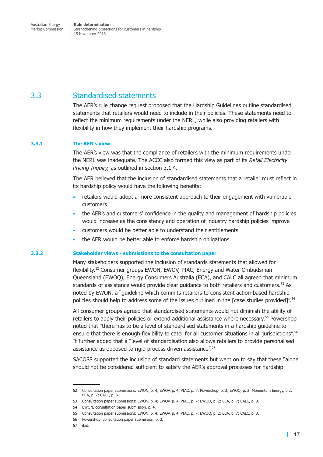### <span id="page-24-1"></span><span id="page-24-0"></span>3.3 Standardised statements

The AER's rule change request proposed that the Hardship Guidelines outline standardised statements that retailers would need to include in their policies. These statements need to reflect the minimum requirements under the NERL, while also providing retailers with flexibility in how they implement their hardship programs.

### **3.3.1 The AER's view**

The AER's view was that the compliance of retailers with the minimum requirements under the NERL was inadequate. The ACCC also formed this view as part of its *Retail Electricity Pricing Inquiry,* as outlined in [section](#page-19-0) 3.1.4.

The AER believed that the inclusion of standardised statements that a retailer must reflect in its hardship policy would have the following benefits:

- retailers would adopt a more consistent approach to their engagement with vulnerable customers
- the AER's and customers' confidence in the quality and management of hardship policies would increase as the consistency and operation of industry hardship policies improve
- customers would be better able to understand their entitlements
- the AER would be better able to enforce hardship obligations.

### **3.3.2 Stakeholder views - submissions to the consultation paper**

Many stakeholders supported the inclusion of standards statements that allowed for flexibility. <sup>52</sup> Consumer groups EWON, EWOV, PIAC, Energy and Water Ombudsman Queensland (EWOQ), Energy Consumers Australia (ECA), and CALC all agreed that minimum standards of assistance would provide clear guidance to both retailers and customers. <sup>53</sup> As noted by EWON, a "guideline which commits retailers to consistent action-based hardship policies should help to address some of the issues outlined in the [case studies provided]".<sup>54</sup>

All consumer groups agreed that standardised statements would not diminish the ability of retailers to apply their policies or extend additional assistance where necessary. <sup>55</sup> Powershop noted that "there has to be a level of standardised statements in a hardship guideline to ensure that there is enough flexibility to cater for all customer situations in all jurisdictions".<sup>56</sup> It further added that a "level of standardisation also allows retailers to provide personalised assistance as opposed to rigid process driven assistance". 57

SACOSS supported the inclusion of standard statements but went on to say that these "alone should not be considered sufficient to satisfy the AER's approval processes for hardship

<sup>52</sup> Consultation paper submissions: EWON, p. 4; EWOV, p. 4, PIAC, p. 7; Powershop, p. 3; EWOQ, p. 2; Momentum Energy, p.2; ECA, p. 7; CALC, p. 3.

<sup>53</sup> Consultation paper submissions: EWON, p. 4; EWOV, p. 4, PIAC, p. 7; EWOQ, p. 2; ECA, p. 7; CALC, p. 3.

<sup>54</sup> EWON, consultation paper submission, p. 4.

<sup>55</sup> Consultation paper submissions: EWON, p. 4; EWOV, p. 4, PIAC, p. 7; EWOQ, p. 2; ECA, p. 7; CALC, p. 3.

<sup>56</sup> Powershop, consultation paper submission, p. 3.

<sup>57</sup> ibid.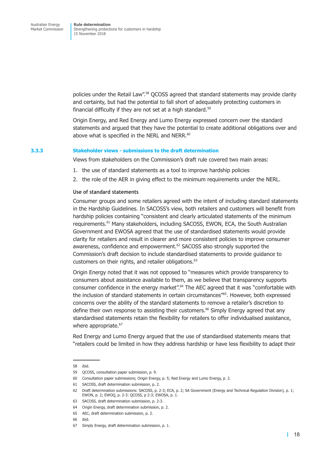policies under the Retail Law". <sup>58</sup> QCOSS agreed that standard statements may provide clarity and certainty, but had the potential to fall short of adequately protecting customers in financial difficulty if they are not set at a high standard.<sup>59</sup>

Origin Energy, and Red Energy and Lumo Energy expressed concern over the standard statements and argued that they have the potential to create additional obligations over and above what is specified in the NERL and NERR.<sup>60</sup>

#### **3.3.3 Stakeholder views - submissions to the draft determination**

Views from stakeholders on the Commission's draft rule covered two main areas:

- 1. the use of standard statements as a tool to improve hardship policies
- 2. the role of the AER in giving effect to the minimum requirements under the NERL.

#### **Use of standard statements**

Consumer groups and some retailers agreed with the intent of including standard statements in the Hardship Guidelines. In SACOSS's view, both retailers and customers will benefit from hardship policies containing "consistent and clearly articulated statements of the minimum requirements. <sup>61</sup> Many stakeholders, including SACOSS, EWON, ECA, the South Australian Government and EWOSA agreed that the use of standardised statements would provide clarity for retailers and result in clearer and more consistent policies to improve consumer awareness, confidence and empowerment.<sup>62</sup> SACOSS also strongly supported the Commission's draft decision to include standardised statements to provide guidance to customers on their rights, and retailer obligations. 63

Origin Energy noted that it was not opposed to "measures which provide transparency to consumers about assistance available to them, as we believe that transparency supports consumer confidence in the energy market".<sup>64</sup> The AEC agreed that it was "comfortable with the inclusion of standard statements in certain circumstances"<sup>65</sup>. However, both expressed concerns over the ability of the standard statements to remove a retailer's discretion to define their own response to assisting their customers. <sup>66</sup> Simply Energy agreed that any standardised statements retain the flexibility for retailers to offer individualised assistance, where appropriate.<sup>67</sup>

Red Energy and Lumo Energy argued that the use of standardised statements means that "retailers could be limited in how they address hardship or have less flexibility to adapt their

<sup>58</sup> ibid.

<sup>59</sup> QCOSS, consultation paper submission, p. 9.

<sup>60</sup> Consultation paper submissions; Origin Energy, p. 5; Red Energy and Lumo Energy, p. 2.

<sup>61</sup> SACOSS, draft determination submission, p. 2.

<sup>62</sup> Draft determination submissions: SACOSS, p. 2-3; ECA, p. 2; SA Government (Energy and Technical Regulation Division), p. 1; EWON, p. 2; EWOQ, p. 2-3: QCOSS, p 2-3; EWOSA, p. 1.

<sup>63</sup> SACOSS, draft determination submission, p. 2-3.

<sup>64</sup> Origin Energy, draft determination submission, p. 2.

<sup>65</sup> AEC, draft determination submission, p. 2.

<sup>66</sup> ibid.

<sup>67</sup> Simply Energy, draft determination submission, p. 1.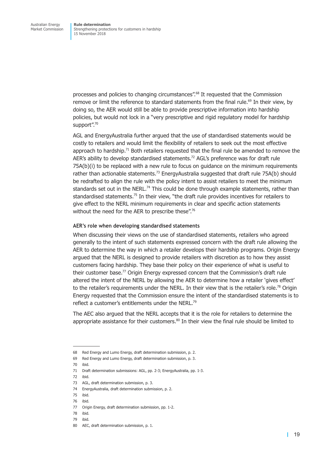processes and policies to changing circumstances". <sup>68</sup> It requested that the Commission remove or limit the reference to standard statements from the final rule. <sup>69</sup> In their view, by doing so, the AER would still be able to provide prescriptive information into hardship policies, but would not lock in a "very prescriptive and rigid regulatory model for hardship support".<sup>70</sup>

AGL and EnergyAustralia further argued that the use of standardised statements would be costly to retailers and would limit the flexibility of retailers to seek out the most effective approach to hardship.<sup>71</sup> Both retailers requested that the final rule be amended to remove the AER's ability to develop standardised statements. <sup>72</sup> AGL's preference was for draft rule 75A(b)(i) to be replaced with a new rule to focus on guidance on the minimum requirements rather than actionable statements.<sup>73</sup> EnergyAustralia suggested that draft rule 75A(b) should be redrafted to align the rule with the policy intent to assist retailers to meet the minimum standards set out in the NERL.<sup>74</sup> This could be done through example statements, rather than standardised statements.<sup>75</sup> In their view, "the draft rule provides incentives for retailers to give effect to the NERL minimum requirements in clear and specific action statements without the need for the AER to prescribe these".<sup>76</sup>

### **AER's role when developing standardised statements**

When discussing their views on the use of standardised statements, retailers who agreed generally to the intent of such statements expressed concern with the draft rule allowing the AER to determine the way in which a retailer develops their hardship programs. Origin Energy argued that the NERL is designed to provide retailers with discretion as to how they assist customers facing hardship. They base their policy on their experience of what is useful to their customer base. <sup>77</sup> Origin Energy expressed concern that the Commission's draft rule altered the intent of the NERL by allowing the AER to determine how a retailer 'gives effect' to the retailer's requirements under the NERL. In their view that is the retailer's role.<sup>78</sup> Origin Energy requested that the Commission ensure the intent of the standardised statements is to reflect a customer's entitlements under the NERL.<sup>79</sup>

The AEC also argued that the NERL accepts that it is the role for retailers to determine the appropriate assistance for their customers.<sup>80</sup> In their view the final rule should be limited to

<sup>68</sup> Red Energy and Lumo Energy, draft determination submission, p. 2.

<sup>69</sup> Red Energy and Lumo Energy, draft determination submission, p. 3.

<sup>70</sup> ibid.

<sup>71</sup> Draft determination submissions: AGL, pp. 2-3; EnergyAustralia, pp. 1-3.

<sup>72</sup> ibid.

<sup>73</sup> AGL, draft determination submission, p. 3.

<sup>74</sup> EnergyAustralia, draft determination submission, p. 2.

<sup>75</sup> ibid.

<sup>76</sup> ibid.

<sup>77</sup> Origin Energy, draft determination submission, pp. 1-2.

<sup>78</sup> ibid.

<sup>79</sup> ibid.

<sup>80</sup> AEC, draft determination submission, p. 1.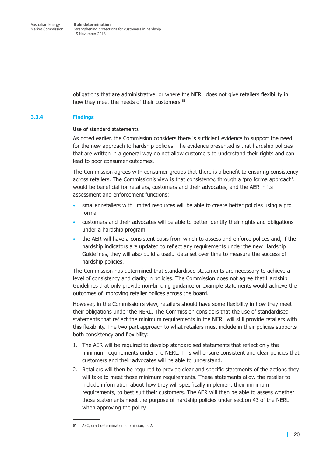obligations that are administrative, or where the NERL does not give retailers flexibility in how they meet the needs of their customers. 81

### **3.3.4 Findings**

### **Use of standard statements**

As noted earlier, the Commission considers there is sufficient evidence to support the need for the new approach to hardship policies. The evidence presented is that hardship policies that are written in a general way do not allow customers to understand their rights and can lead to poor consumer outcomes.

The Commission agrees with consumer groups that there is a benefit to ensuring consistency across retailers. The Commission's view is that consistency, through a 'pro forma approach', would be beneficial for retailers, customers and their advocates, and the AER in its assessment and enforcement functions:

- smaller retailers with limited resources will be able to create better policies using a pro forma
- customers and their advocates will be able to better identify their rights and obligations under a hardship program
- the AER will have a consistent basis from which to assess and enforce polices and, if the hardship indicators are updated to reflect any requirements under the new Hardship Guidelines, they will also build a useful data set over time to measure the success of hardship policies.

The Commission has determined that standardised statements are necessary to achieve a level of consistency and clarity in policies. The Commission does not agree that Hardship Guidelines that only provide non-binding guidance or example statements would achieve the outcomes of improving retailer polices across the board.

However, in the Commission's view, retailers should have some flexibility in how they meet their obligations under the NERL. The Commission considers that the use of standardised statements that reflect the minimum requirements in the NERL will still provide retailers with this flexibility. The two part approach to what retailers must include in their policies supports both consistency and flexibility:

- 1. The AER will be required to develop standardised statements that reflect only the minimum requirements under the NERL. This will ensure consistent and clear policies that customers and their advocates will be able to understand.
- 2. Retailers will then be required to provide clear and specific statements of the actions they will take to meet those minimum requirements. These statements allow the retailer to include information about how they will specifically implement their minimum requirements, to best suit their customers. The AER will then be able to assess whether those statements meet the purpose of hardship policies under section 43 of the NERL when approving the policy.

<sup>81</sup> AEC, draft determination submission, p. 2.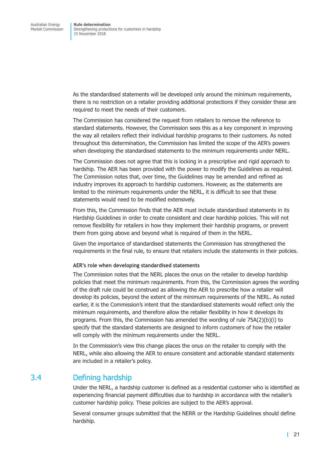<span id="page-28-0"></span>As the standardised statements will be developed only around the minimum requirements, there is no restriction on a retailer providing additional protections if they consider these are required to meet the needs of their customers.

The Commission has considered the request from retailers to remove the reference to standard statements. However, the Commission sees this as a key component in improving the way all retailers reflect their individual hardship programs to their customers. As noted throughout this determination, the Commission has limited the scope of the AER's powers when developing the standardised statements to the minimum requirements under NERL.

The Commission does not agree that this is locking in a prescriptive and rigid approach to hardship. The AER has been provided with the power to modify the Guidelines as required. The Commission notes that, over time, the Guidelines may be amended and refined as industry improves its approach to hardship customers. However, as the statements are limited to the minimum requirements under the NERL, it is difficult to see that these statements would need to be modified extensively.

From this, the Commission finds that the AER must include standardised statements in its Hardship Guidelines in order to create consistent and clear hardship policies. This will not remove flexibility for retailers in how they implement their hardship programs, or prevent them from going above and beyond what is required of them in the NERL.

Given the importance of standardised statements the Commission has strengthened the requirements in the final rule, to ensure that retailers include the statements in their policies.

### **AER's role when developing standardised statements**

The Commission notes that the NERL places the onus on the retailer to develop hardship policies that meet the minimum requirements. From this, the Commission agrees the wording of the draft rule could be construed as allowing the AER to prescribe how a retailer will develop its policies, beyond the extent of the minimum requirements of the NERL. As noted earlier, it is the Commission's intent that the standardised statements would reflect only the minimum requirements, and therefore allow the retailer flexibility in how it develops its programs. From this, the Commission has amended the wording of rule 75A(2)(b)(i) to specify that the standard statements are designed to inform customers of how the retailer will comply with the minimum requirements under the NERL.

In the Commission's view this change places the onus on the retailer to comply with the NERL, while also allowing the AER to ensure consistent and actionable standard statements are included in a retailer's policy.

### 3.4 Defining hardship

Under the NERL, a hardship customer is defined as a residential customer who is identified as experiencing financial payment difficulties due to hardship in accordance with the retailer's customer hardship policy. These policies are subject to the AER's approval.

Several consumer groups submitted that the NERR or the Hardship Guidelines should define hardship.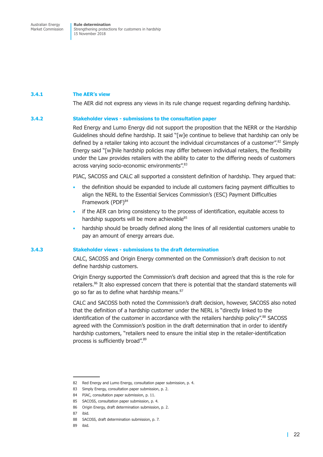### **3.4.1 The AER's view**

The AER did not express any views in its rule change request regarding defining hardship.

### **3.4.2 Stakeholder views - submissions to the consultation paper**

Red Energy and Lumo Energy did not support the proposition that the NERR or the Hardship Guidelines should define hardship. It said "[w]e continue to believe that hardship can only be defined by a retailer taking into account the individual circumstances of a customer". <sup>82</sup> Simply Energy said "[w]hile hardship policies may differ between individual retailers, the flexibility under the Law provides retailers with the ability to cater to the differing needs of customers across varying socio-economic environments". 83

PIAC, SACOSS and CALC all supported a consistent definition of hardship. They argued that:

- the definition should be expanded to include all customers facing payment difficulties to align the NERL to the Essential Services Commission's (ESC) Payment Difficulties Framework (PDF) 84
- if the AER can bring consistency to the process of identification, equitable access to hardship supports will be more achievable<sup>85</sup>
- hardship should be broadly defined along the lines of all residential customers unable to pay an amount of energy arrears due.

### **3.4.3 Stakeholder views - submissions to the draft determination**

CALC, SACOSS and Origin Energy commented on the Commission's draft decision to not define hardship customers.

Origin Energy supported the Commission's draft decision and agreed that this is the role for retailers. <sup>86</sup> It also expressed concern that there is potential that the standard statements will go so far as to define what hardship means. 87

CALC and SACOSS both noted the Commission's draft decision, however, SACOSS also noted that the definition of a hardship customer under the NERL is "directly linked to the identification of the customer in accordance with the retailers hardship policy".<sup>88</sup> SACOSS agreed with the Commission's position in the draft determination that in order to identify hardship customers, "retailers need to ensure the initial step in the retailer-identification process is sufficiently broad".<sup>89</sup>

<sup>82</sup> Red Energy and Lumo Energy, consultation paper submission, p. 4.

<sup>83</sup> Simply Energy, consultation paper submission, p. 2.

<sup>84</sup> PIAC, consultation paper submission, p. 11.

<sup>85</sup> SACOSS, consultation paper submission, p. 4.

<sup>86</sup> Origin Energy, draft determination submission. p. 2.

<sup>87</sup> ibid.

<sup>88</sup> SACOSS, draft determination submission, p. 7.

<sup>89</sup> ibid.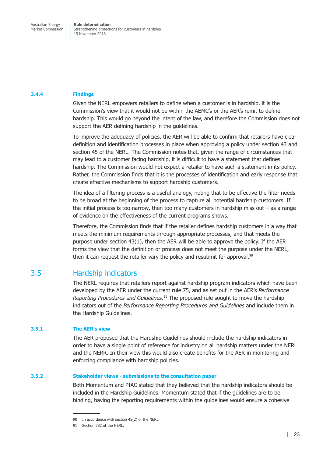### <span id="page-30-0"></span>**3.4.4 Findings**

Given the NERL empowers retailers to define when a customer is in hardship, it is the Commission's view that it would not be within the AEMC's or the AER's remit to define hardship. This would go beyond the intent of the law, and therefore the Commission does not support the AER defining hardship in the guidelines.

To improve the adequacy of policies, the AER will be able to confirm that retailers have clear definition and identification processes in place when approving a policy under section 43 and section 45 of the NERL. The Commission notes that, given the range of circumstances that may lead to a customer facing hardship, it is difficult to have a statement that defines hardship. The Commission would not expect a retailer to have such a statement in its policy. Rather, the Commission finds that it is the processes of identification and early response that create effective mechanisms to support hardship customers.

The idea of a filtering process is a useful analogy, noting that to be effective the filter needs to be broad at the beginning of the process to capture all potential hardship customers. If the initial process is too narrow, then too many customers in hardship miss out  $-$  as a range of evidence on the effectiveness of the current programs shows.

Therefore, the Commission finds that if the retailer defines hardship customers in a way that meets the minimum requirements through appropriate processes, and that meets the purpose under section 43(1), then the AER will be able to approve the policy. If the AER forms the view that the definition or process does not meet the purpose under the NERL, then it can request the retailer vary the policy and resubmit for approval.<sup>90</sup>

### 3.5 Hardship indicators

The NERL requires that retailers report against hardship program indicators which have been developed by the AER under the current rule 75, and as set out in the AER's *Performance Reporting Procedures and Guidelines.* <sup>91</sup> The proposed rule sought to move the hardship indicators out of the *Performance Reporting Procedures and Guidelines* and include them in the Hardship Guidelines.

### **3.5.1 The AER's view**

The AER proposed that the Hardship Guidelines should include the hardship indicators in order to have a single point of reference for industry on all hardship matters under the NERL and the NERR. In their view this would also create benefits for the AER in monitoring and enforcing compliance with hardship policies.

### **3.5.2 Stakeholder views - submissions to the consultation paper**

Both Momentum and PIAC stated that they believed that the hardship indicators should be included in the Hardship Guidelines. Momentum stated that if the guidelines are to be binding, having the reporting requirements within the guidelines would ensure a cohesive

<sup>90</sup> In accordance with section 45(2) of the NERL.

<sup>91</sup> Section 282 of the NERL.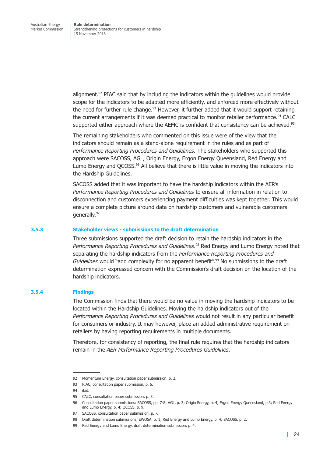alignment. <sup>92</sup> PIAC said that by including the indicators within the guidelines would provide scope for the indicators to be adapted more efficiently, and enforced more effectively without the need for further rule change.<sup>93</sup> However, it further added that it would support retaining the current arrangements if it was deemed practical to monitor retailer performance. <sup>94</sup> CALC supported either approach where the AEMC is confident that consistency can be achieved.<sup>95</sup>

The remaining stakeholders who commented on this issue were of the view that the indicators should remain as a stand-alone requirement in the rules and as part of *Performance Reporting Procedures and Guidelines.* The stakeholders who supported this approach were SACOSS, AGL, Origin Energy, Ergon Energy Queensland, Red Energy and Lumo Energy and QCOSS. <sup>96</sup> All believe that there is little value in moving the indicators into the Hardship Guidelines.

SACOSS added that it was important to have the hardship indicators within the AER's *Performance Reporting Procedures and Guidelines* to ensure all information in relation to disconnection and customers experiencing payment difficulties was kept together. This would ensure a complete picture around data on hardship customers and vulnerable customers generally. 97

### **3.5.3 Stakeholder views - submissions to the draft determination**

Three submissions supported the draft decision to retain the hardship indicators in the *Performance Reporting Procedures and Guidelines*. <sup>98</sup> Red Energy and Lumo Energy noted that separating the hardship indicators from the *Performance Reporting Procedures and Guidelines* would "add complexity for no apparent benefit". <sup>99</sup> No submissions to the draft determination expressed concern with the Commission's draft decision on the location of the hardship indicators.

### **3.5.4 Findings**

The Commission finds that there would be no value in moving the hardship indicators to be located within the Hardship Guidelines. Moving the hardship indicators out of the *Performance Reporting Procedures and Guidelines* would not result in any particular benefit for consumers or industry. It may however, place an added administrative requirement on retailers by having reporting requirements in multiple documents.

Therefore, for consistency of reporting, the final rule requires that the hardship indicators remain in the *AER Performance Reporting Procedures Guidelines*.

<sup>92</sup> Momentum Energy, consultation paper submission, p. 2.

<sup>93</sup> PIAC, consultation paper submission, p. 6.

<sup>94</sup> ibid.

<sup>95</sup> CALC, consultation paper submission, p. 3.

<sup>96</sup> Consultation paper submissions: SACOSS, pp. 7-8; AGL, p. 3; Origin Energy, p. 4; Ergon Energy Queensland, p.3; Red Energy and Lumo Energy, p. 4; QCOSS, p. 9.

<sup>97</sup> SACOSS, consultation paper submission, p. 7.

<sup>98</sup> Draft determination submissions; EWOSA, p. 1; Red Energy and Lumo Energy, p. 4; SACOSS, p. 2.

<sup>99</sup> Red Energy and Lumo Energy, draft determination submission, p. 4.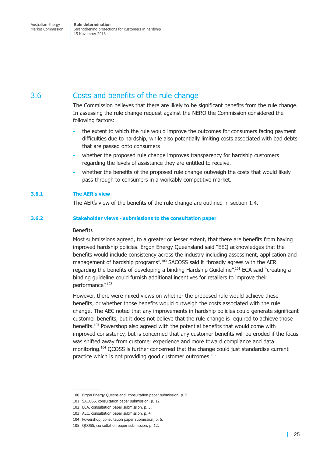## <span id="page-32-0"></span>3.6 Costs and benefits of the rule change

The Commission believes that there are likely to be significant benefits from the rule change. In assessing the rule change request against the NERO the Commission considered the following factors:

- the extent to which the rule would improve the outcomes for consumers facing payment difficulties due to hardship, while also potentially limiting costs associated with bad debts that are passed onto consumers
- whether the proposed rule change improves transparency for hardship customers regarding the levels of assistance they are entitled to receive.
- whether the benefits of the proposed rule change outweigh the costs that would likely pass through to consumers in a workably competitive market.

### **3.6.1 The AER's view**

The AER's view of the benefits of the rule change are outlined in [section](#page-10-1) 1.4.

### **3.6.2 Stakeholder views - submissions to the consultation paper**

### **Benefits**

Most submissions agreed, to a greater or lesser extent, that there are benefits from having improved hardship policies. Ergon Energy Queensland said "EEQ acknowledges that the benefits would include consistency across the industry including assessment, application and management of hardship programs".<sup>100</sup> SACOSS said it "broadly agrees with the AER regarding the benefits of developing a binding Hardship Guideline". <sup>101</sup> ECA said "creating a binding guideline could furnish additional incentives for retailers to improve their performance". 102

However, there were mixed views on whether the proposed rule would achieve these benefits, or whether those benefits would outweigh the costs associated with the rule change. The AEC noted that any improvements in hardship policies could generate significant customer benefits, but it does not believe that the rule change is required to achieve those benefits. <sup>103</sup> Powershop also agreed with the potential benefits that would come with improved consistency, but is concerned that any customer benefits will be eroded if the focus was shifted away from customer experience and more toward compliance and data monitoring. <sup>104</sup> QCOSS is further concerned that the change could just standardise current practice which is not providing good customer outcomes. 105

<sup>100</sup> Ergon Energy Queensland, consultation paper submission, p. 5.

<sup>101</sup> SACOSS, consultation paper submission, p. 12.

<sup>102</sup> ECA, consultation paper submission, p. 5.

<sup>103</sup> AEC, consultation paper submission, p. 4.

<sup>104</sup> Powershop, consultation paper submission, p. 5.

<sup>105</sup> QCOSS, consultation paper submission, p. 12.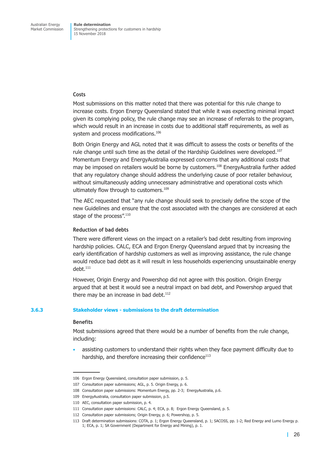### **Costs**

Most submissions on this matter noted that there was potential for this rule change to increase costs. Ergon Energy Queensland stated that while it was expecting minimal impact given its complying policy, the rule change may see an increase of referrals to the program, which would result in an increase in costs due to additional staff requirements, as well as system and process modifications.<sup>106</sup>

Both Origin Energy and AGL noted that it was difficult to assess the costs or benefits of the rule change until such time as the detail of the Hardship Guidelines were developed.<sup>107</sup> Momentum Energy and EnergyAustralia expressed concerns that any additional costs that may be imposed on retailers would be borne by customers. <sup>108</sup> EnergyAustralia further added that any regulatory change should address the underlying cause of poor retailer behaviour, without simultaneously adding unnecessary administrative and operational costs which ultimately flow through to customers. 109

The AEC requested that "any rule change should seek to precisely define the scope of the new Guidelines and ensure that the cost associated with the changes are considered at each stage of the process".<sup>110</sup>

### **Reduction of bad debts**

There were different views on the impact on a retailer's bad debt resulting from improving hardship policies. CALC, ECA and Ergon Energy Queensland argued that by increasing the early identification of hardship customers as well as improving assistance, the rule change would reduce bad debt as it will result in less households experiencing unsustainable energy debt. 111

However, Origin Energy and Powershop did not agree with this position. Origin Energy argued that at best it would see a neutral impact on bad debt, and Powershop argued that there may be an increase in bad debt.<sup>112</sup>

### **3.6.3 Stakeholder views - submissions to the draft determination**

#### **Benefits**

Most submissions agreed that there would be a number of benefits from the rule change, including:

• assisting customers to understand their rights when they face payment difficulty due to hardship, and therefore increasing their confidence<sup>113</sup>

<sup>106</sup> Ergon Energy Queensland, consultation paper submission, p. 5.

<sup>107</sup> Consultation paper submissions; AGL, p. 5. Origin Energy, p. 6.

<sup>108</sup> Consultation paper submissions: Momentum Energy, pp. 2-3; EnergyAustralia, p.6.

<sup>109</sup> EnergyAustralia, consultation paper submission, p.5.

<sup>110</sup> AEC, consultation paper submission, p. 4.

<sup>111</sup> Consultation paper submissions: CALC, p. 4; ECA, p. 8; Ergon Energy Queensland, p. 5.

<sup>112</sup> Consultation paper submissions; Origin Energy, p. 6; Powershop, p. 5.

<sup>113</sup> Draft determination submissions: COTA, p. 1; Ergon Energy Queensland, p. 1; SACOSS, pp. 1-2; Red Energy and Lumo Energy p. 1; ECA, p. 1; SA Government (Department for Energy and Mining), p. 1.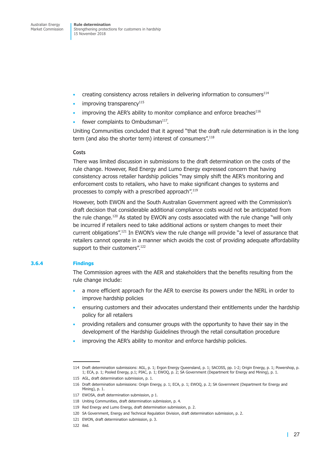- creating consistency across retailers in delivering information to consumers $114$
- improving transparency<sup>115</sup>
- improving the AER's ability to monitor compliance and enforce breaches $^{116}$
- fewer complaints to Ombudsman $117$ .

Uniting Communities concluded that it agreed "that the draft rule determination is in the long term (and also the shorter term) interest of consumers".<sup>118</sup>

### **Costs**

There was limited discussion in submissions to the draft determination on the costs of the rule change. However, Red Energy and Lumo Energy expressed concern that having consistency across retailer hardship policies "may simply shift the AER's monitoring and enforcement costs to retailers, who have to make significant changes to systems and processes to comply with a prescribed approach".<sup>119</sup>

However, both EWON and the South Australian Government agreed with the Commission's draft decision that considerable additional compliance costs would not be anticipated from the rule change.<sup>120</sup> As stated by EWON any costs associated with the rule change "will only be incurred if retailers need to take additional actions or system changes to meet their current obligations".<sup>121</sup> In EWON's view the rule change will provide "a level of assurance that retailers cannot operate in a manner which avoids the cost of providing adequate affordability support to their customers".<sup>122</sup>

### <span id="page-34-0"></span>**3.6.4 Findings**

The Commission agrees with the AER and stakeholders that the benefits resulting from the rule change include:

- a more efficient approach for the AER to exercise its powers under the NERL in order to improve hardship policies
- ensuring customers and their advocates understand their entitlements under the hardship policy for all retailers
- providing retailers and consumer groups with the opportunity to have their say in the development of the Hardship Guidelines through the retail consultation procedure
- improving the AER's ability to monitor and enforce hardship policies.

<sup>114</sup> Draft determination submissions: AGL, p. 1; Ergon Energy Queensland, p. 1; SACOSS, pp. 1-2; Origin Energy, p. 1; Powershop, p. 1; ECA, p. 1; Pooled Energy, p.1; PIAC, p. 1; EWOQ, p. 2; SA Government (Department for Energy and Mining), p. 1.

<sup>115</sup> AGL, draft determination submission, p. 1.

<sup>116</sup> Draft determination submissions: Origin Energy, p. 1; ECA, p. 1; EWOQ, p. 2; SA Government (Department for Energy and Mining), p. 1.

<sup>117</sup> EWOSA, draft determination submission, p 1.

<sup>118</sup> Uniting Communities, draft determination submission, p. 4.

<sup>119</sup> Red Energy and Lumo Energy, draft determination submission, p. 2.

<sup>120</sup> SA Government, Energy and Technical Regulation Division, draft determination submission, p. 2.

<sup>121</sup> EWON, draft determination submission, p. 3.

<sup>122</sup> ibid.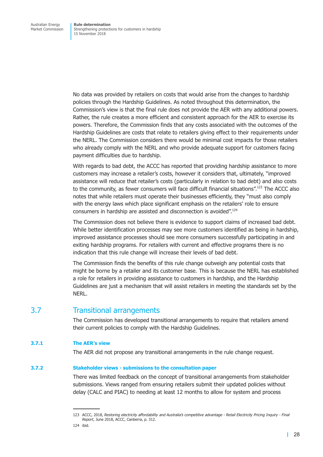<span id="page-35-0"></span>No data was provided by retailers on costs that would arise from the changes to hardship policies through the Hardship Guidelines. As noted throughout this determination, the Commission's view is that the final rule does not provide the AER with any additional powers. Rather, the rule creates a more efficient and consistent approach for the AER to exercise its powers. Therefore, the Commission finds that any costs associated with the outcomes of the Hardship Guidelines are costs that relate to retailers giving effect to their requirements under the NERL. The Commission considers there would be minimal cost impacts for those retailers who already comply with the NERL and who provide adequate support for customers facing payment difficulties due to hardship.

With regards to bad debt, the ACCC has reported that providing hardship assistance to more customers may increase a retailer's costs, however it considers that, ultimately, "improved assistance will reduce that retailer's costs (particularly in relation to bad debt) and also costs to the community, as fewer consumers will face difficult financial situations".<sup>123</sup> The ACCC also notes that while retailers must operate their businesses efficiently, they "must also comply with the energy laws which place significant emphasis on the retailers' role to ensure consumers in hardship are assisted and disconnection is avoided".<sup>124</sup>

The Commission does not believe there is evidence to support claims of increased bad debt. While better identification processes may see more customers identified as being in hardship, improved assistance processes should see more consumers successfully participating in and exiting hardship programs. For retailers with current and effective programs there is no indication that this rule change will increase their levels of bad debt.

The Commission finds the benefits of this rule change outweigh any potential costs that might be borne by a retailer and its customer base. This is because the NERL has established a role for retailers in providing assistance to customers in hardship, and the Hardship Guidelines are just a mechanism that will assist retailers in meeting the standards set by the NERL.

### 3.7 Transitional arrangements

The Commission has developed transitional arrangements to require that retailers amend their current policies to comply with the Hardship Guidelines.

### **3.7.1 The AER's view**

The AER did not propose any transitional arrangements in the rule change request.

### **3.7.2 Stakeholder views - submissions to the consultation paper**

There was limited feedback on the concept of transitional arrangements from stakeholder submissions. Views ranged from ensuring retailers submit their updated policies without delay (CALC and PIAC) to needing at least 12 months to allow for system and process

<sup>123</sup> ACCC. 2018, Restoring electricity affordability and Australia's competitive advantage - Retail Electricity Pricing Inquiry - Final *Report*, June 2018, ACCC, Canberra, p. 312.

<sup>124</sup> ibid.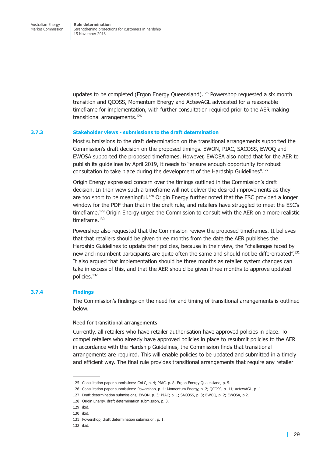updates to be completed (Ergon Energy Queensland). <sup>125</sup> Powershop requested a six month transition and QCOSS, Momentum Energy and ActewAGL advocated for a reasonable timeframe for implementation, with further consultation required prior to the AER making transitional arrangements. 126

### **3.7.3 Stakeholder views - submissions to the draft determination**

Most submissions to the draft determination on the transitional arrangements supported the Commission's draft decision on the proposed timings. EWON, PIAC, SACOSS, EWOQ and EWOSA supported the proposed timeframes. However, EWOSA also noted that for the AER to publish its guidelines by April 2019, it needs to "ensure enough opportunity for robust consultation to take place during the development of the Hardship Guidelines". 127

Origin Energy expressed concern over the timings outlined in the Commission's draft decision. In their view such a timeframe will not deliver the desired improvements as they are too short to be meaningful.<sup>128</sup> Origin Energy further noted that the ESC provided a longer window for the PDF than that in the draft rule, and retailers have struggled to meet the ESC's timeframe.<sup>129</sup> Origin Energy urged the Commission to consult with the AER on a more realistic timeframe. 130

Powershop also requested that the Commission review the proposed timeframes. It believes that that retailers should be given three months from the date the AER publishes the Hardship Guidelines to update their policies, because in their view, the "challenges faced by new and incumbent participants are quite often the same and should not be differentiated".<sup>131</sup> It also argued that implementation should be three months as retailer system changes can take in excess of this, and that the AER should be given three months to approve updated policies. 132

### **3.7.4 Findings**

The Commission's findings on the need for and timing of transitional arrangements is outlined below.

### **Need for transitional arrangements**

Currently, all retailers who have retailer authorisation have approved policies in place. To compel retailers who already have approved policies in place to resubmit policies to the AER in accordance with the Hardship Guidelines, the Commission finds that transitional arrangements are required. This will enable policies to be updated and submitted in a timely and efficient way. The final rule provides transitional arrangements that require any retailer

<sup>125</sup> Consultation paper submissions: CALC, p. 4; PIAC, p. 8; Ergon Energy Queensland, p. 5.

<sup>126</sup> Consultation paper submissions: Powershop, p. 4; Momentum Energy, p. 2; QCOSS, p. 11; ActewAGL, p. 4.

<sup>127</sup> Draft determination submissions; EWON, p. 3; PIAC; p. 1; SACOSS, p. 3; EWOQ, p. 2; EWOSA, p 2.

<sup>128</sup> Origin Energy, draft determination submission, p. 3.

<sup>129</sup> ibid.

<sup>130</sup> ibid.

<sup>131</sup> Powershop, draft determination submission, p. 1.

<sup>132</sup> ibid.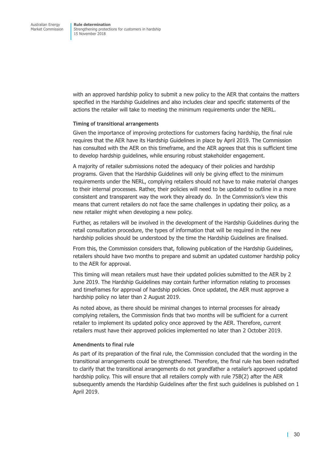with an approved hardship policy to submit a new policy to the AER that contains the matters specified in the Hardship Guidelines and also includes clear and specific statements of the actions the retailer will take to meeting the minimum requirements under the NERL.

### **Timing of transitional arrangements**

Given the importance of improving protections for customers facing hardship, the final rule requires that the AER have its Hardship Guidelines in place by April 2019. The Commission has consulted with the AER on this timeframe, and the AER agrees that this is sufficient time to develop hardship guidelines, while ensuring robust stakeholder engagement.

A majority of retailer submissions noted the adequacy of their policies and hardship programs. Given that the Hardship Guidelines will only be giving effect to the minimum requirements under the NERL, complying retailers should not have to make material changes to their internal processes. Rather, their policies will need to be updated to outline in a more consistent and transparent way the work they already do. In the Commission's view this means that current retailers do not face the same challenges in updating their policy, as a new retailer might when developing a new policy.

Further, as retailers will be involved in the development of the Hardship Guidelines during the retail consultation procedure, the types of information that will be required in the new hardship policies should be understood by the time the Hardship Guidelines are finalised.

From this, the Commission considers that, following publication of the Hardship Guidelines, retailers should have two months to prepare and submit an updated customer hardship policy to the AER for approval.

This timing will mean retailers must have their updated policies submitted to the AER by 2 June 2019. The Hardship Guidelines may contain further information relating to processes and timeframes for approval of hardship policies. Once updated, the AER must approve a hardship policy no later than 2 August 2019.

As noted above, as there should be minimal changes to internal processes for already complying retailers, the Commission finds that two months will be sufficient for a current retailer to implement its updated policy once approved by the AER. Therefore, current retailers must have their approved policies implemented no later than 2 October 2019.

### **Amendments to final rule**

As part of its preparation of the final rule, the Commission concluded that the wording in the transitional arrangements could be strengthened. Therefore, the final rule has been redrafted to clarify that the transitional arrangements do not grandfather a retailer's approved updated hardship policy. This will ensure that all retailers comply with rule 75B(2) after the AER subsequently amends the Hardship Guidelines after the first such guidelines is published on 1 April 2019.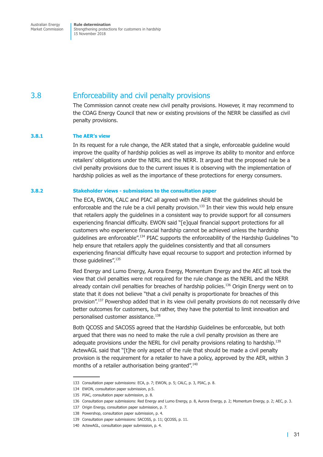## <span id="page-38-0"></span>3.8 Enforceability and civil penalty provisions

The Commission cannot create new civil penalty provisions. However, it may recommend to the COAG Energy Council that new or existing provisions of the NERR be classified as civil penalty provisions.

### **3.8.1 The AER's view**

In its request for a rule change, the AER stated that a single, enforceable guideline would improve the quality of hardship policies as well as improve its ability to monitor and enforce retailers' obligations under the NERL and the NERR. It argued that the proposed rule be a civil penalty provisions due to the current issues it is observing with the implementation of hardship policies as well as the importance of these protections for energy consumers.

### **3.8.2 Stakeholder views - submissions to the consultation paper**

The ECA, EWON, CALC and PIAC all agreed with the AER that the guidelines should be enforceable and the rule be a civil penalty provision. <sup>133</sup> In their view this would help ensure that retailers apply the guidelines in a consistent way to provide support for all consumers experiencing financial difficulty. EWON said "[e]qual financial support protections for all customers who experience financial hardship cannot be achieved unless the hardship guidelines are enforceable".<sup>134</sup> PIAC supports the enforceability of the Hardship Guidelines "to help ensure that retailers apply the guidelines consistently and that all consumers experiencing financial difficulty have equal recourse to support and protection informed by those guidelines". 135

Red Energy and Lumo Energy, Aurora Energy, Momentum Energy and the AEC all took the view that civil penalties were not required for the rule change as the NERL and the NERR already contain civil penalties for breaches of hardship policies. <sup>136</sup> Origin Energy went on to state that it does not believe "that a civil penalty is proportionate for breaches of this provision". <sup>137</sup> Powershop added that in its view civil penalty provisions do not necessarily drive better outcomes for customers, but rather, they have the potential to limit innovation and personalised customer assistance. 138

Both QCOSS and SACOSS agreed that the Hardship Guidelines be enforceable, but both argued that there was no need to make the rule a civil penalty provision as there are adequate provisions under the NERL for civil penalty provisions relating to hardship.<sup>139</sup> ActewAGL said that "[t]he only aspect of the rule that should be made a civil penalty provision is the requirement for a retailer to have a policy, approved by the AER, within 3 months of a retailer authorisation being granted". 140

<sup>133</sup> Consultation paper submissions: ECA, p. 7; EWON, p. 5; CALC, p. 3, PIAC, p. 8.

<sup>134</sup> EWON, consultation paper submission, p.5.

<sup>135</sup> PIAC, consultation paper submission, p. 8.

<sup>136</sup> Consultation paper submissions: Red Energy and Lumo Energy, p. 8, Aurora Energy, p. 2; Momentum Energy, p. 2; AEC, p. 3.

<sup>137</sup> Origin Energy, consultation paper submission, p. 7.

<sup>138</sup> Powershop, consultation paper submission, p. 4.

<sup>139</sup> Consultation paper submissions: SACOSS, p. 11; QCOSS, p. 11.

<sup>140</sup> ActewAGL, consultation paper submission, p. 4.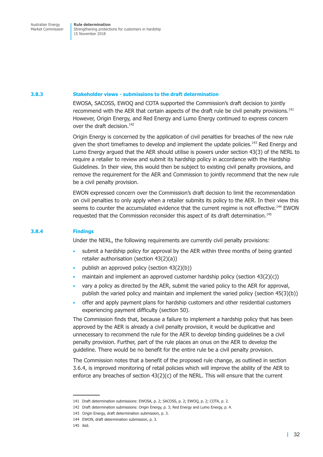### **3.8.3 Stakeholder views - submissions to the draft determination**

EWOSA, SACOSS, EWOQ and COTA supported the Commission's draft decision to jointly recommend with the AER that certain aspects of the draft rule be civil penalty provisions.<sup>141</sup> However, Origin Energy, and Red Energy and Lumo Energy continued to express concern over the draft decision.<sup>142</sup>

Origin Energy is concerned by the application of civil penalties for breaches of the new rule given the short timeframes to develop and implement the update policies.<sup>143</sup> Red Energy and Lumo Energy argued that the AER should utilise is powers under section 43(3) of the NERL to require a retailer to review and submit its hardship policy in accordance with the Hardship Guidelines. In their view, this would then be subject to existing civil penalty provisions, and remove the requirement for the AER and Commission to jointly recommend that the new rule be a civil penalty provision.

EWON expressed concern over the Commission's draft decision to limit the recommendation on civil penalties to only apply when a retailer submits its policy to the AER. In their view this seems to counter the accumulated evidence that the current regime is not effective.<sup>144</sup> EWON requested that the Commission reconsider this aspect of its draft determination. 145

### **3.8.4 Findings**

Under the NERL, the following requirements are currently civil penalty provisions:

- submit a hardship policy for approval by the AER within three months of being granted retailer authorisation (section 43(2)(a))
- publish an approved policy (section 43(2)(b))
- maintain and implement an approved customer hardship policy (section 43(2)(c))
- vary a policy as directed by the AER, submit the varied policy to the AER for approval, publish the varied policy and maintain and implement the varied policy (section 45(3)(b))
- offer and apply payment plans for hardship customers and other residential customers experiencing payment difficulty (section 50).

The Commission finds that, because a failure to implement a hardship policy that has been approved by the AER is already a civil penalty provision, it would be duplicative and unnecessary to recommend the rule for the AER to develop binding guidelines be a civil penalty provision. Further, part of the rule places an onus on the AER to develop the guideline. There would be no benefit for the entire rule be a civil penalty provision.

The Commission notes that a benefit of the proposed rule change, as outlined in [section](#page-34-0) [3.6.4,](#page-34-0) is improved monitoring of retail policies which will improve the ability of the AER to enforce any breaches of section  $43(2)(c)$  of the NERL. This will ensure that the current

<sup>141</sup> Draft determination submissions: EWOSA, p. 2; SACOSS, p. 2; EWOQ, p. 2; COTA, p. 2.

<sup>142</sup> Draft determination submissions: Origin Energy, p. 3; Red Energy and Lumo Energy, p. 4.

<sup>143</sup> Origin Energy, draft determination submission, p. 3.

<sup>144</sup> EWON, draft determination submission, p. 3.

<sup>145</sup> ibid.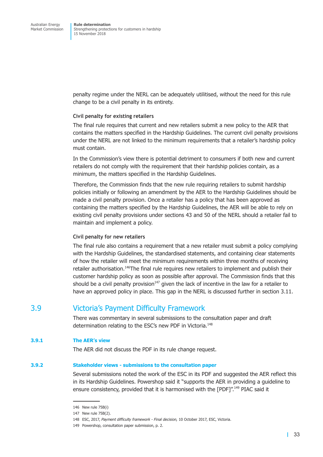<span id="page-40-0"></span>penalty regime under the NERL can be adequately utilitised, without the need for this rule change to be a civil penalty in its entirety.

### **Civil penalty for existing retailers**

The final rule requires that current and new retailers submit a new policy to the AER that contains the matters specified in the Hardship Guidelines. The current civil penalty provisions under the NERL are not linked to the minimum requirements that a retailer's hardship policy must contain.

In the Commission's view there is potential detriment to consumers if both new and current retailers do not comply with the requirement that their hardship policies contain, as a minimum, the matters specified in the Hardship Guidelines.

Therefore, the Commission finds that the new rule requiring retailers to submit hardship policies initially or following an amendment by the AER to the Hardship Guidelines should be made a civil penalty provision. Once a retailer has a policy that has been approved as containing the matters specified by the Hardship Guidelines, the AER will be able to rely on existing civil penalty provisions under sections 43 and 50 of the NERL should a retailer fail to maintain and implement a policy.

### **Civil penalty for new retailers**

The final rule also contains a requirement that a new retailer must submit a policy complying with the Hardship Guidelines, the standardised statements, and containing clear statements of how the retailer will meet the minimum requirements within three months of receiving retailer authorisation.<sup>146</sup>The final rule requires new retailers to implement and publish their customer hardship policy as soon as possible after approval. The Commission finds that this should be a civil penalty provision $147$  given the lack of incentive in the law for a retailer to have an approved policy in place. This gap in the NERL is discussed further in [section](#page-42-1) 3.11.

### 3.9 Victoria's Payment Difficulty Framework

There was commentary in several submissions to the consultation paper and draft determination relating to the ESC's new PDF in Victoria. 148

### **3.9.1 The AER's view**

The AER did not discuss the PDF in its rule change request.

### **3.9.2 Stakeholder views - submissions to the consultation paper**

Several submissions noted the work of the ESC in its PDF and suggested the AER reflect this in its Hardship Guidelines. Powershop said it "supports the AER in providing a guideline to ensure consistency, provided that it is harmonised with the [PDF]".<sup>149</sup> PIAC said it

<sup>146</sup> New rule 75B(i)

<sup>147</sup> New rule 75B(2).

<sup>148</sup> ESC, 2017, *Payment difficulty framework - Final decision,* 10 October 2017, ESC, Victoria.

<sup>149</sup> Powershop, consultation paper submission, p. 2.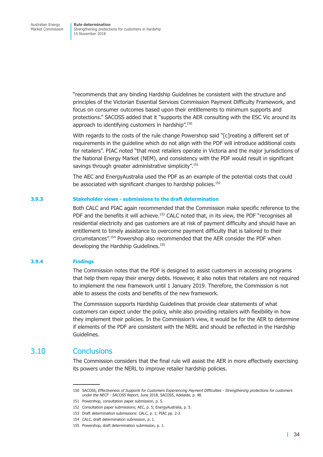<span id="page-41-0"></span>"recommends that any binding Hardship Guidelines be consistent with the structure and principles of the Victorian Essential Services Commission Payment Difficulty Framework, and focus on consumer outcomes based upon their entitlements to minimum supports and protections." SACOSS added that it "supports the AER consulting with the ESC Vic around its approach to identifying customers in hardship".<sup>150</sup>

With regards to the costs of the rule change Powershop said "[c]reating a different set of requirements in the guideline which do not align with the PDF will introduce additional costs for retailers". PIAC noted "that most retailers operate in Victoria and the major jurisdictions of the National Energy Market (NEM), and consistency with the PDF would result in significant savings through greater administrative simplicity". 151

The AEC and EnergyAustralia used the PDF as an example of the potential costs that could be associated with significant changes to hardship policies. 152

### **3.9.3 Stakeholder views - submissions to the draft determination**

Both CALC and PIAC again recommended that the Commission make specific reference to the PDF and the benefits it will achieve.<sup>153</sup> CALC noted that, in its view, the PDF "recognises all residential electricity and gas customers are at risk of payment difficulty and should have an entitlement to timely assistance to overcome payment difficulty that is tailored to their circumstances". <sup>154</sup> Powershop also recommended that the AER consider the PDF when developing the Hardship Guidelines. 155

### **3.9.4 Findings**

The Commission notes that the PDF is designed to assist customers in accessing programs that help them repay their energy debts. However, it also notes that retailers are not required to implement the new framework until 1 January 2019. Therefore, the Commission is not able to assess the costs and benefits of the new framework.

The Commission supports Hardship Guidelines that provide clear statements of what customers can expect under the policy, while also providing retailers with flexibility in how they implement their policies. In the Commission's view, it would be for the AER to determine if elements of the PDF are consistent with the NERL and should be reflected in the Hardship Guidelines.

### 3.10 Conclusions

The Commission considers that the final rule will assist the AER in more effectively exercising its powers under the NERL to improve retailer hardship policies.

<sup>150</sup> SACOSS, *Effectiveness of Supports for Customers Experiencing Payment Difficulties - Strengthening protections for customers under the NECF - SACOSS Report*, June 2018, SACOSS, Adelaide, p. 48.

<sup>151</sup> Powershop, consultation paper submission, p. 5.

<sup>152</sup> Consultation paper submissions; AEC, p. 5; EnergyAustralia, p. 5.

<sup>153</sup> Draft determination submissions: CALC, p. 1; PIAC pp. 2-3.

<sup>154</sup> CALC, draft determination submission, p. 1.

<sup>155</sup> Powershop, draft determination submission, p. 1.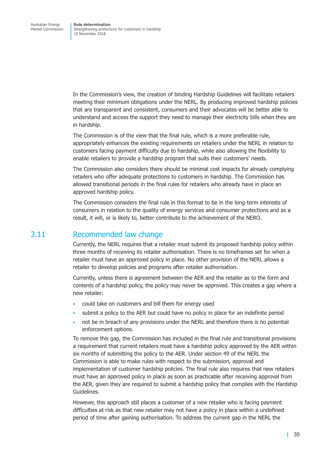<span id="page-42-0"></span>In the Commission's view, the creation of binding Hardship Guidelines will facilitate retailers meeting their minimum obligations under the NERL. By producing improved hardship policies that are transparent and consistent, consumers and their advocates will be better able to understand and access the support they need to manage their electricity bills when they are in hardship.

The Commission is of the view that the final rule, which is a more preferable rule, appropriately enhances the existing requirements on retailers under the NERL in relation to customers facing payment difficulty due to hardship, while also allowing the flexibility to enable retailers to provide a hardship program that suits their customers' needs.

The Commission also considers there should be minimal cost impacts for already complying retailers who offer adequate protections to customers in hardship. The Commission has allowed transitional periods in the final rules for retailers who already have in place an approved hardship policy.

The Commission considers the final rule in this format to be in the long-term interests of consumers in relation to the quality of energy services and consumer protections and as a result, it will, or is likely to, better contribute to the achievement of the NERO.

### <span id="page-42-1"></span>3.11 Recommended law change

Currently, the NERL requires that a retailer must submit its proposed hardship policy within three months of receiving its retailer authorisation. There is no timeframes set for when a retailer must have an approved policy in place. No other provision of the NERL allows a retailer to develop policies and programs after retailer authorisation.

Currently, unless there is agreement between the AER and the retailer as to the form and contents of a hardship policy, the policy may never be approved. This creates a gap where a new retailer:

- could take on customers and bill them for energy used
- submit a policy to the AER but could have no policy in place for an indefinite period
- not be in breach of any provisions under the NERL and therefore there is no potential enforcement options.

To remove this gap, the Commission has included in the final rule and transitional provisions a requirement that current retailers must have a hardship policy approved by the AER within six months of submitting the policy to the AER. Under section 49 of the NERL the Commission is able to make rules with respect to the submission, approval and implementation of customer hardship policies. The final rule also requires that new retailers must have an approved policy in place as soon as practicable after receiving approval from the AER, given they are required to submit a hardship policy that complies with the Hardship Guidelines.

However, this approach still places a customer of a new retailer who is facing payment difficulties at risk as that new retailer may not have a policy in place within a undefined period of time after gaining authorisation. To address the current gap in the NERL the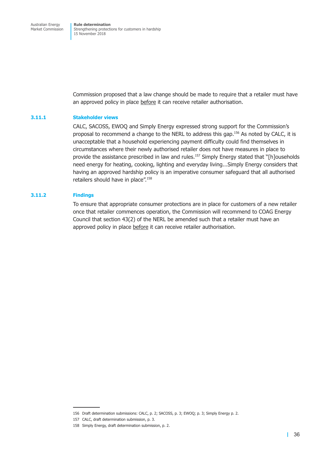Commission proposed that a law change should be made to require that a retailer must have an approved policy in place before it can receive retailer authorisation.

### **3.11.1 Stakeholder views**

CALC, SACOSS, EWOQ and Simply Energy expressed strong support for the Commission's proposal to recommend a change to the NERL to address this gap. <sup>156</sup> As noted by CALC, it is unacceptable that a household experiencing payment difficulty could find themselves in circumstances where their newly authorised retailer does not have measures in place to provide the assistance prescribed in law and rules.<sup>157</sup> Simply Energy stated that "[h]ouseholds need energy for heating, cooking, lighting and everyday living...Simply Energy considers that having an approved hardship policy is an imperative consumer safeguard that all authorised retailers should have in place". 158

### **3.11.2 Findings**

To ensure that appropriate consumer protections are in place for customers of a new retailer once that retailer commences operation, the Commission will recommend to COAG Energy Council that section 43(2) of the NERL be amended such that a retailer must have an approved policy in place before it can receive retailer authorisation.

<sup>156</sup> Draft determination submissions: CALC, p. 2; SACOSS, p. 3; EWOQ; p. 3; Simply Energy p. 2.

<sup>157</sup> CALC, draft determination submission, p. 3.

<sup>158</sup> Simply Energy, draft determination submission, p. 2.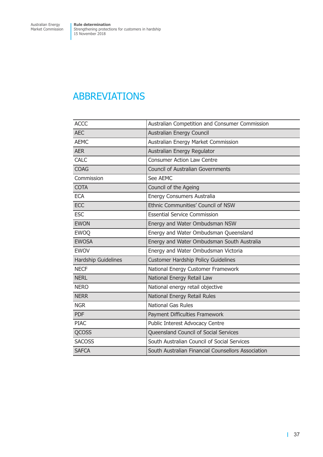# <span id="page-44-0"></span>ABBREVIATIONS

| <b>ACCC</b>                | Australian Competition and Consumer Commission     |
|----------------------------|----------------------------------------------------|
| <b>AEC</b>                 | Australian Energy Council                          |
| <b>AEMC</b>                | Australian Energy Market Commission                |
| <b>AER</b>                 | Australian Energy Regulator                        |
| <b>CALC</b>                | <b>Consumer Action Law Centre</b>                  |
| <b>COAG</b>                | <b>Council of Australian Governments</b>           |
| Commission                 | See AEMC                                           |
| <b>COTA</b>                | Council of the Ageing                              |
| <b>ECA</b>                 | Energy Consumers Australia                         |
| <b>ECC</b>                 | Ethnic Communities' Council of NSW                 |
| <b>ESC</b>                 | <b>Essential Service Commission</b>                |
| <b>EWON</b>                | Energy and Water Ombudsman NSW                     |
| <b>EWOQ</b>                | Energy and Water Ombudsman Queensland              |
| <b>EWOSA</b>               | Energy and Water Ombudsman South Australia         |
| <b>EWOV</b>                | Energy and Water Ombudsman Victoria                |
| <b>Hardship Guidelines</b> | <b>Customer Hardship Policy Guidelines</b>         |
| <b>NECF</b>                | National Energy Customer Framework                 |
| <b>NERL</b>                | National Energy Retail Law                         |
| <b>NERO</b>                | National energy retail objective                   |
| <b>NERR</b>                | National Energy Retail Rules                       |
| <b>NGR</b>                 | <b>National Gas Rules</b>                          |
| <b>PDF</b>                 | Payment Difficulties Framework                     |
| <b>PIAC</b>                | Public Interest Advocacy Centre                    |
| <b>QCOSS</b>               | Queensland Council of Social Services              |
| <b>SACOSS</b>              | South Australian Council of Social Services        |
| <b>SAFCA</b>               | South Australian Financial Counsellors Association |
|                            |                                                    |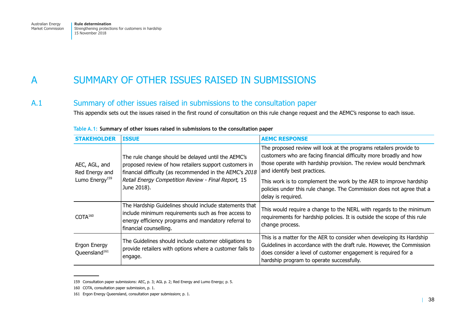#### <span id="page-45-0"></span>ASUMMARY OF OTHER ISSUES RAISED IN SUBMISSIONS

#### A.1Summary of other issues raised in submissions to the consultation paper

This appendix sets out the issues raised in the first round of consultation on this rule change request and the AEMC's response to each issue.

| <b>STAKEHOLDER</b>                                            | <b>ISSUE</b>                                                                                                                                                                                                                                 | <b>AEMC RESPONSE</b>                                                                                                                                                                                                                                          |
|---------------------------------------------------------------|----------------------------------------------------------------------------------------------------------------------------------------------------------------------------------------------------------------------------------------------|---------------------------------------------------------------------------------------------------------------------------------------------------------------------------------------------------------------------------------------------------------------|
| AEC, AGL, and<br>Red Energy and<br>Lumo Energy <sup>159</sup> | The rule change should be delayed until the AEMC's<br>proposed review of how retailers support customers in<br>financial difficulty (as recommended in the AEMC's 2018<br>Retail Energy Competition Review - Final Report, 15<br>June 2018). | The proposed review will look at the programs retailers provide to<br>customers who are facing financial difficulty more broadly and how<br>those operate with hardship provision. The review would benchmark<br>and identify best practices.                 |
|                                                               |                                                                                                                                                                                                                                              | This work is to complement the work by the AER to improve hardship<br>policies under this rule change. The Commission does not agree that a<br>delay is required.                                                                                             |
| COTA <sup>160</sup>                                           | The Hardship Guidelines should include statements that<br>include minimum requirements such as free access to<br>energy efficiency programs and mandatory referral to<br>financial counselling.                                              | This would require a change to the NERL with regards to the minimum<br>requirements for hardship policies. It is outside the scope of this rule<br>change process.                                                                                            |
| Ergon Energy<br>Queensland <sup>161</sup>                     | The Guidelines should include customer obligations to<br>provide retailers with options where a customer fails to<br>engage.                                                                                                                 | This is a matter for the AER to consider when developing its Hardship<br>Guidelines in accordance with the draft rule. However, the Commission<br>does consider a level of customer engagement is required for a<br>hardship program to operate successfully. |

### **Table A.1: Summary of other issues raised in submissions to the consultation paper**

<sup>159</sup> Consultation paper submissions: AEC, p. 3; AGL p. 2; Red Energy and Lumo Energy; p. 5.

<sup>160</sup> COTA, consultation paper submission, p. 1.

<sup>161</sup> Ergon Energy Queensland, consultation paper submissionr, p. 1.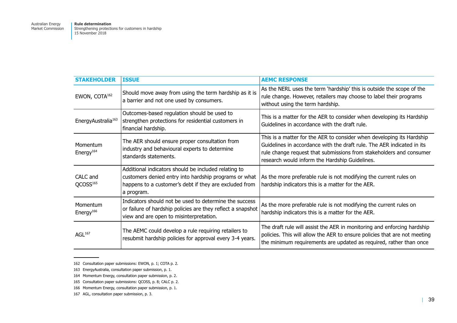| <b>STAKEHOLDER</b>                | <b>ISSUE</b>                                                                                                                                                                          | <b>AEMC RESPONSE</b>                                                                                                                                                                                                                                                     |
|-----------------------------------|---------------------------------------------------------------------------------------------------------------------------------------------------------------------------------------|--------------------------------------------------------------------------------------------------------------------------------------------------------------------------------------------------------------------------------------------------------------------------|
| EWON, COTA <sup>162</sup>         | Should move away from using the term hardship as it is<br>a barrier and not one used by consumers.                                                                                    | As the NERL uses the term 'hardship' this is outside the scope of the<br>rule change. However, retailers may choose to label their programs<br>without using the term hardship.                                                                                          |
| EnergyAustralia <sup>163</sup>    | Outcomes-based regulation should be used to<br>strengthen protections for residential customers in<br>financial hardship.                                                             | This is a matter for the AER to consider when developing its Hardship<br>Guidelines in accordance with the draft rule.                                                                                                                                                   |
| Momentum<br>Energy <sup>164</sup> | The AER should ensure proper consultation from<br>industry and behavioural experts to determine<br>standards statements.                                                              | This is a matter for the AER to consider when developing its Hardship<br>Guidelines in accordance with the draft rule. The AER indicated in its<br>rule change request that submissions from stakeholders and consumer<br>research would inform the Hardship Guidelines. |
| CALC and<br>QCOSS <sup>165</sup>  | Additional indicators should be included relating to<br>customers denied entry into hardship programs or what<br>happens to a customer's debt if they are excluded from<br>a program. | As the more preferable rule is not modifying the current rules on<br>hardship indicators this is a matter for the AER.                                                                                                                                                   |
| Momentum<br>Energy <sup>166</sup> | Indicators should not be used to determine the success<br>or failure of hardship policies are they reflect a snapshot<br>view and are open to misinterpretation.                      | As the more preferable rule is not modifying the current rules on<br>hardship indicators this is a matter for the AER.                                                                                                                                                   |
| AGL <sup>167</sup>                | The AEMC could develop a rule requiring retailers to<br>resubmit hardship policies for approval every 3-4 years.                                                                      | The draft rule will assist the AER in monitoring and enforcing hardship<br>policies. This will allow the AER to ensure policies that are not meeting<br>the minimum requirements are updated as required, rather than once                                               |

<sup>162</sup> Consultation paper submissions: EWON, p. 1; COTA p. 2.

<sup>163</sup> EnergyAustralia, consultation paper submission, p. 1.

<sup>164</sup> Momentum Energy, consultation paper submission, p. 2.

<sup>165</sup> Consultation paper submissions: QCOSS, p. 8; CALC p. 2.

<sup>166</sup> Momentum Energy, consultation paper submission, p. 1.

<sup>167</sup> AGL, consultation paper submission, p. 3.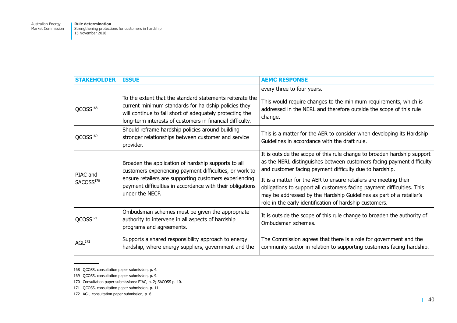| <b>STAKEHOLDER</b>                | <b>ISSUE</b>                                                                                                                                                                                                                                             | <b>AEMC RESPONSE</b>                                                                                                                                                                                                                                                         |
|-----------------------------------|----------------------------------------------------------------------------------------------------------------------------------------------------------------------------------------------------------------------------------------------------------|------------------------------------------------------------------------------------------------------------------------------------------------------------------------------------------------------------------------------------------------------------------------------|
|                                   |                                                                                                                                                                                                                                                          | every three to four years.                                                                                                                                                                                                                                                   |
| QCOSS <sup>168</sup>              | To the extent that the standard statements reiterate the<br>current minimum standards for hardship policies they<br>will continue to fall short of adequately protecting the<br>long-term interests of customers in financial difficulty.                | This would require changes to the minimum requirements, which is<br>addressed in the NERL and therefore outside the scope of this rule<br>change.                                                                                                                            |
| QCOSS <sup>169</sup>              | Should reframe hardship policies around building<br>stronger relationships between customer and service<br>provider.                                                                                                                                     | This is a matter for the AER to consider when developing its Hardship<br>Guidelines in accordance with the draft rule.                                                                                                                                                       |
| PIAC and<br>SACOSS <sup>170</sup> | Broaden the application of hardship supports to all<br>customers experiencing payment difficulties, or work to<br>ensure retailers are supporting customers experiencing<br>payment difficulties in accordance with their obligations<br>under the NECF. | It is outside the scope of this rule change to broaden hardship support<br>as the NERL distinguishes between customers facing payment difficulty<br>and customer facing payment difficulty due to hardship.                                                                  |
|                                   |                                                                                                                                                                                                                                                          | It is a matter for the AER to ensure retailers are meeting their<br>obligations to support all customers facing payment difficulties. This<br>may be addressed by the Hardship Guidelines as part of a retailer's<br>role in the early identification of hardship customers. |
| QCOS <sup>171</sup>               | Ombudsman schemes must be given the appropriate<br>authority to intervene in all aspects of hardship<br>programs and agreements.                                                                                                                         | It is outside the scope of this rule change to broaden the authority of<br>Ombudsman schemes.                                                                                                                                                                                |
| AGL <sup>172</sup>                | Supports a shared responsibility approach to energy<br>hardship, where energy suppliers, government and the                                                                                                                                              | The Commission agrees that there is a role for government and the<br>community sector in relation to supporting customers facing hardship.                                                                                                                                   |

<sup>168</sup> QCOSS, consultation paper submission, p. 4.

<sup>169</sup> QCOSS, consultation paper submission, p. 9.

<sup>170</sup> Consultation paper submissions: PIAC, p. 2; SACOSS p. 10.

<sup>171</sup> QCOSS, consultation paper submission, p. 11.

<sup>172</sup> AGL, consultation paper submission, p. 6.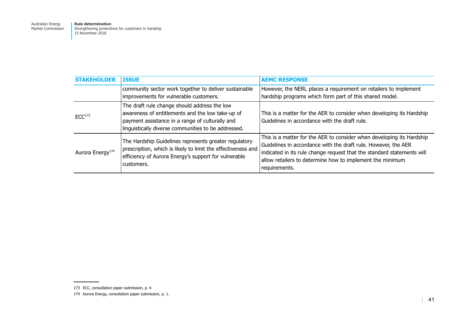Australian Energy Market Commission

| <b>STAKEHOLDER</b>           | <b>ISSUE</b>                                                                                                                                                                                               | <b>AEMC RESPONSE</b>                                                                                                                                                                                                                                                                            |
|------------------------------|------------------------------------------------------------------------------------------------------------------------------------------------------------------------------------------------------------|-------------------------------------------------------------------------------------------------------------------------------------------------------------------------------------------------------------------------------------------------------------------------------------------------|
|                              | community sector work together to deliver sustainable<br>improvements for vulnerable customers.                                                                                                            | However, the NERL places a requirement on retailers to implement<br>hardship programs which form part of this shared model.                                                                                                                                                                     |
| ECC <sup>173</sup>           | The draft rule change should address the low<br>awareness of entitlements and the low take-up of<br>payment assistance in a range of culturally and<br>linguistically diverse communities to be addressed. | This is a matter for the AER to consider when developing its Hardship<br>Guidelines in accordance with the draft rule.                                                                                                                                                                          |
| Aurora Energy <sup>174</sup> | The Hardship Guidelines represents greater regulatory<br>prescription, which is likely to limit the effectiveness and<br>efficiency of Aurora Energy's support for vulnerable<br>customers.                | This is a matter for the AER to consider when developing its Hardship<br>Guidelines in accordance with the draft rule. However, the AER<br>indicated in its rule change request that the standard statements will<br>allow retailers to determine how to implement the minimum<br>requirements. |

<sup>173</sup> ECC, consultation paper submission, p. 4.

<sup>174</sup> Aurora Energy, consultation paper submission, p. 1.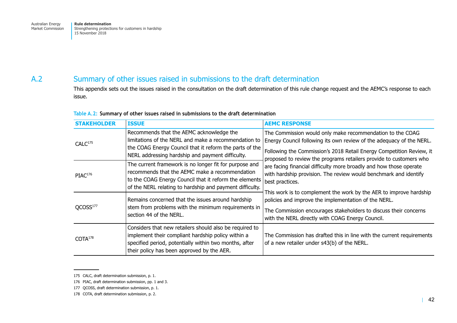### <span id="page-49-0"></span>A.2

### Summary of other issues raised in submissions to the draft determination

This appendix sets out the issues raised in the consultation on the draft determination of this rule change request and the AEMC's response to each issue.

| <b>STAKEHOLDER</b>   | <b>ISSUE</b>                                                                                                                                                                                                                   | <b>AEMC RESPONSE</b>                                                                                                                                                                                                                                                            |
|----------------------|--------------------------------------------------------------------------------------------------------------------------------------------------------------------------------------------------------------------------------|---------------------------------------------------------------------------------------------------------------------------------------------------------------------------------------------------------------------------------------------------------------------------------|
| CALC <sup>175</sup>  | Recommends that the AEMC acknowledge the<br>limitations of the NERL and make a recommendation to<br>the COAG Energy Council that it reform the parts of the<br>NERL addressing hardship and payment difficulty.                | The Commission would only make recommendation to the COAG<br>Energy Council following its own review of the adequacy of the NERL.<br>Following the Commission's 2018 Retail Energy Competition Review, it<br>proposed to review the programs retailers provide to customers who |
| PIAC <sup>176</sup>  | The current framework is no longer fit for purpose and<br>recommends that the AEMC make a recommendation<br>to the COAG Energy Council that it reform the elements<br>of the NERL relating to hardship and payment difficulty. | are facing financial difficulty more broadly and how those operate<br>with hardship provision. The review would benchmark and identify<br>best practices.                                                                                                                       |
| QCOSS <sup>177</sup> | Remains concerned that the issues around hardship<br>stem from problems with the minimum requirements in<br>section 44 of the NERL.                                                                                            | This work is to complement the work by the AER to improve hardship<br>policies and improve the implementation of the NERL.<br>The Commission encourages stakeholders to discuss their concerns<br>with the NERL directly with COAG Energy Council.                              |
| COTA <sup>178</sup>  | Considers that new retailers should also be required to<br>implement their compliant hardship policy within a<br>specified period, potentially within two months, after<br>their policy has been approved by the AER.          | The Commission has drafted this in line with the current requirements<br>of a new retailer under s43(b) of the NERL.                                                                                                                                                            |

#### **Table A.2: Summary of other issues raised in submissions to the draft determination**

<sup>175</sup> CALC, draft determination submission, p. 1.

<sup>176</sup> PIAC, draft determination submission, pp. 1 and 3.

<sup>177</sup> QCOSS, draft determination submission, p. 1.

<sup>178</sup> COTA, draft determination submission, p. 2.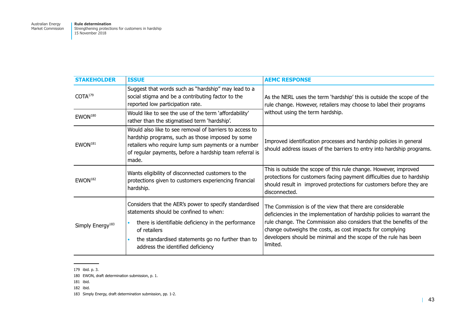Australian Energy Market Commission

| <b>STAKEHOLDER</b>           | <b>ISSUE</b>                                                                                                                                                                                                                                                                                | <b>AEMC RESPONSE</b>                                                                                                                                                                                                                                                                                                                                   |
|------------------------------|---------------------------------------------------------------------------------------------------------------------------------------------------------------------------------------------------------------------------------------------------------------------------------------------|--------------------------------------------------------------------------------------------------------------------------------------------------------------------------------------------------------------------------------------------------------------------------------------------------------------------------------------------------------|
| COTA <sup>179</sup>          | Suggest that words such as "hardship" may lead to a<br>social stigma and be a contributing factor to the<br>reported low participation rate.                                                                                                                                                | As the NERL uses the term 'hardship' this is outside the scope of the<br>rule change. However, retailers may choose to label their programs<br>without using the term hardship.                                                                                                                                                                        |
| $EWON^{180}$                 | Would like to see the use of the term 'affordability'<br>rather than the stigmatised term 'hardship'.                                                                                                                                                                                       |                                                                                                                                                                                                                                                                                                                                                        |
| EWON <sup>181</sup>          | Would also like to see removal of barriers to access to<br>hardship programs, such as those imposed by some<br>retailers who require lump sum payments or a number<br>of regular payments, before a hardship team referral is<br>made.                                                      | Improved identification processes and hardship policies in general<br>should address issues of the barriers to entry into hardship programs.                                                                                                                                                                                                           |
| EWON <sup>182</sup>          | Wants eligibility of disconnected customers to the<br>protections given to customers experiencing financial<br>hardship.                                                                                                                                                                    | This is outside the scope of this rule change. However, improved<br>protections for customers facing payment difficulties due to hardship<br>should result in improved protections for customers before they are<br>disconnected.                                                                                                                      |
| Simply Energy <sup>183</sup> | Considers that the AER's power to specify standardised<br>statements should be confined to when:<br>there is identifiable deficiency in the performance<br>$\bullet$<br>of retailers<br>the standardised statements go no further than to<br>$\bullet$<br>address the identified deficiency | The Commission is of the view that there are considerable<br>deficiencies in the implementation of hardship policies to warrant the<br>rule change. The Commission also considers that the benefits of the<br>change outweighs the costs, as cost impacts for complying<br>developers should be minimal and the scope of the rule has been<br>limited. |

<sup>179</sup> ibid. p. 3.

<sup>180</sup> EWON, draft determination submission, p. 1.

<sup>181</sup> ibid.

<sup>182</sup> ibid.

<sup>183</sup> Simply Energy, draft determination submission, pp. 1-2.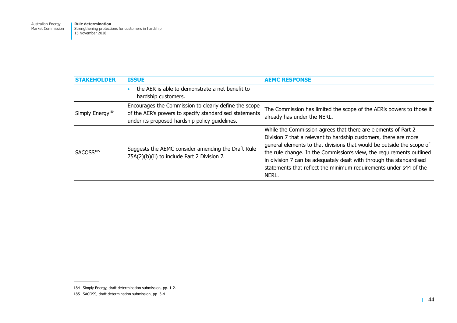Australian Energy Market Commission

| <b>STAKEHOLDER</b>           | <b>ISSUE</b>                                                                                                                                                      | <b>AEMC RESPONSE</b>                                                                                                                                                                                                                                                                                                                                                                                                                    |
|------------------------------|-------------------------------------------------------------------------------------------------------------------------------------------------------------------|-----------------------------------------------------------------------------------------------------------------------------------------------------------------------------------------------------------------------------------------------------------------------------------------------------------------------------------------------------------------------------------------------------------------------------------------|
|                              | the AER is able to demonstrate a net benefit to<br>hardship customers.                                                                                            |                                                                                                                                                                                                                                                                                                                                                                                                                                         |
| Simply Energy <sup>184</sup> | Encourages the Commission to clearly define the scope<br>of the AER's powers to specify standardised statements<br>under its proposed hardship policy guidelines. | The Commission has limited the scope of the AER's powers to those it<br>already has under the NERL.                                                                                                                                                                                                                                                                                                                                     |
| SACOSS <sup>185</sup>        | Suggests the AEMC consider amending the Draft Rule<br>75A(2)(b)(ii) to include Part 2 Division 7.                                                                 | While the Commission agrees that there are elements of Part 2<br>Division 7 that a relevant to hardship customers, there are more<br>general elements to that divisions that would be outside the scope of<br>the rule change. In the Commission's view, the requirements outlined<br>in division 7 can be adequately dealt with through the standardised<br>statements that reflect the minimum requirements under s44 of the<br>NERL. |

<sup>184</sup> Simply Energy, draft determination submission, pp. 1-2.

<sup>185</sup> SACOSS, draft determination submission, pp. 3-4.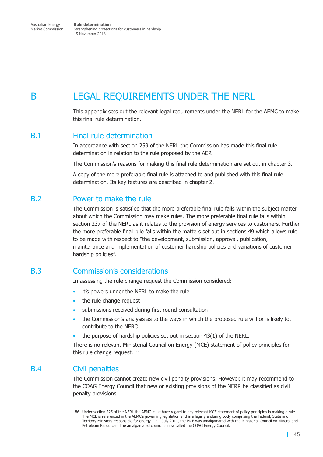# <span id="page-52-0"></span>B LEGAL REQUIREMENTS UNDER THE NERL

This appendix sets out the relevant legal requirements under the NERL for the AEMC to make this final rule determination.

### B.1 Final rule determination

In accordance with section 259 of the NERL the Commission has made this final rule determination in relation to the rule proposed by the AER

The Commission's reasons for making this final rule determination are set out in [chapter](#page-17-1) 3.

A copy of the more preferable final rule is attached to and published with this final rule determination. Its key features are described in [chapter](#page-12-1) 2.

### B.2 Power to make the rule

The Commission is satisfied that the more preferable final rule falls within the subject matter about which the Commission may make rules. The more preferable final rule falls within section 237 of the NERL as it relates to the provision of energy services to customers. Further the more preferable final rule falls within the matters set out in sections 49 which allows rule to be made with respect to "the development, submission, approval, publication, maintenance and implementation of customer hardship policies and variations of customer hardship policies".

## B.3 Commission's considerations

In assessing the rule change request the Commission considered:

- it's powers under the NERL to make the rule
- the rule change request
- submissions received during first round consultation
- the Commission's analysis as to the ways in which the proposed rule will or is likely to, contribute to the NERO.
- the purpose of hardship policies set out in section 43(1) of the NERL.

There is no relevant Ministerial Council on Energy (MCE) statement of policy principles for this rule change request. 186

## B.4 Civil penalties

The Commission cannot create new civil penalty provisions. However, it may recommend to the COAG Energy Council that new or existing provisions of the NERR be classified as civil penalty provisions.

<sup>186</sup> Under section 225 of the NERL the AEMC must have regard to any relevant MCE statement of policy principles in making a rule. The MCE is referenced in the AEMC's governing legislation and is a legally enduring body comprising the Federal, State and Territory Ministers responsible for energy. On 1 July 2011, the MCE was amalgamated with the Ministerial Council on Mineral and Petroleum Resources. The amalgamated council is now called the COAG Energy Council.